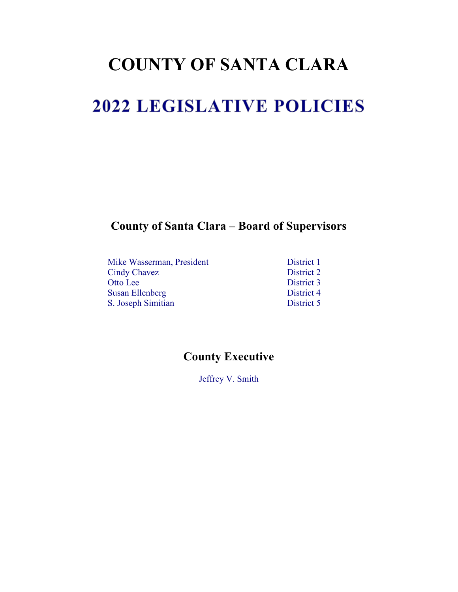# **COUNTY OF SANTA CLARA**

# 2022 LEGISLATIVE POLICIES

**County of Santa Clara – Board of Supervisors**

| District 1 |
|------------|
| District 2 |
| District 3 |
| District 4 |
| District 5 |
|            |

## **County Executive**

Jeffrey V. Smith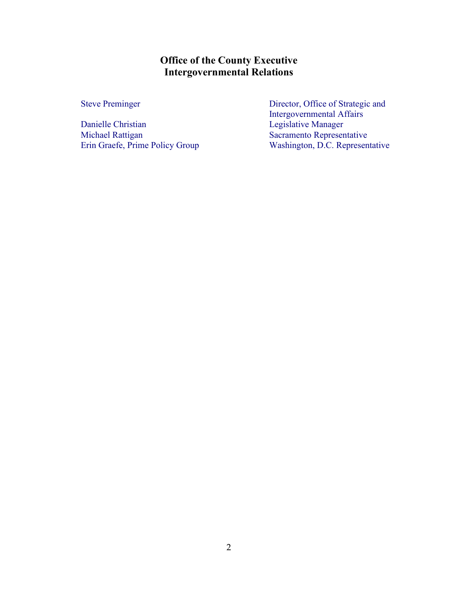**Office of the County Executive Intergovernmental Relations**

Danielle Christian Legislative Manager Michael Rattigan Sacramento Representative Erin Graefe, Prime Policy Group Washington, D.C. Representative

Steve Preminger Director, Office of Strategic and Intergovernmental Affairs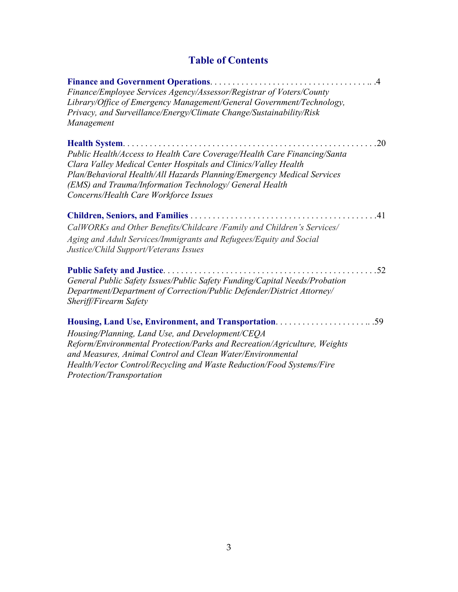## **Table of Contents**

| Finance/Employee Services Agency/Assessor/Registrar of Voters/County<br>Library/Office of Emergency Management/General Government/Technology,<br>Privacy, and Surveillance/Energy/Climate Change/Sustainability/Risk<br>Management                                                                                               |
|----------------------------------------------------------------------------------------------------------------------------------------------------------------------------------------------------------------------------------------------------------------------------------------------------------------------------------|
| .20<br>Public Health/Access to Health Care Coverage/Health Care Financing/Santa<br>Clara Valley Medical Center Hospitals and Clinics/Valley Health<br>Plan/Behavioral Health/All Hazards Planning/Emergency Medical Services<br>(EMS) and Trauma/Information Technology/ General Health<br>Concerns/Health Care Workforce Issues |
| CalWORKs and Other Benefits/Childcare /Family and Children's Services/<br>Aging and Adult Services/Immigrants and Refugees/Equity and Social<br>Justice/Child Support/Veterans Issues                                                                                                                                            |
| General Public Safety Issues/Public Safety Funding/Capital Needs/Probation<br>Department/Department of Correction/Public Defender/District Attorney/<br>Sheriff/Firearm Safety                                                                                                                                                   |
| Housing/Planning, Land Use, and Development/CEQA<br>Reform/Environmental Protection/Parks and Recreation/Agriculture, Weights<br>and Measures, Animal Control and Clean Water/Environmental<br>Health/Vector Control/Recycling and Waste Reduction/Food Systems/Fire                                                             |

*Protection/Transportation*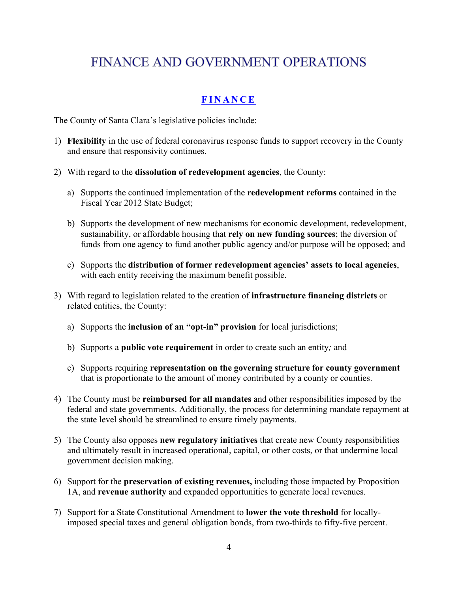# FINANCE AND GOVERNMENT OPERATIONS

#### **FINANCE**

The County of Santa Clara's legislative policies include:

- 1) **Flexibility** in the use of federal coronavirus response funds to support recovery in the County and ensure that responsivity continues.
- 2) With regard to the **dissolution of redevelopment agencies**, the County:
	- a) Supports the continued implementation of the **redevelopment reforms** contained in the Fiscal Year 2012 State Budget;
	- b) Supports the development of new mechanisms for economic development, redevelopment, sustainability, or affordable housing that **rely on new funding sources**; the diversion of funds from one agency to fund another public agency and/or purpose will be opposed; and
	- c) Supports the **distribution of former redevelopment agencies' assets to local agencies**, with each entity receiving the maximum benefit possible.
- 3) With regard to legislation related to the creation of **infrastructure financing districts** or related entities, the County:
	- a) Supports the **inclusion of an "opt-in" provision** for local jurisdictions;
	- b) Supports a **public vote requirement** in order to create such an entity*;* and
	- c) Supports requiring **representation on the governing structure for county government** that is proportionate to the amount of money contributed by a county or counties.
- 4) The County must be **reimbursed for all mandates** and other responsibilities imposed by the federal and state governments. Additionally, the process for determining mandate repayment at the state level should be streamlined to ensure timely payments.
- 5) The County also opposes **new regulatory initiatives** that create new County responsibilities and ultimately result in increased operational, capital, or other costs, or that undermine local government decision making.
- 6) Support for the **preservation of existing revenues,** including those impacted by Proposition 1A, and **revenue authority** and expanded opportunities to generate local revenues.
- 7) Support for a State Constitutional Amendment to **lower the vote threshold** for locallyimposed special taxes and general obligation bonds, from two-thirds to fifty-five percent.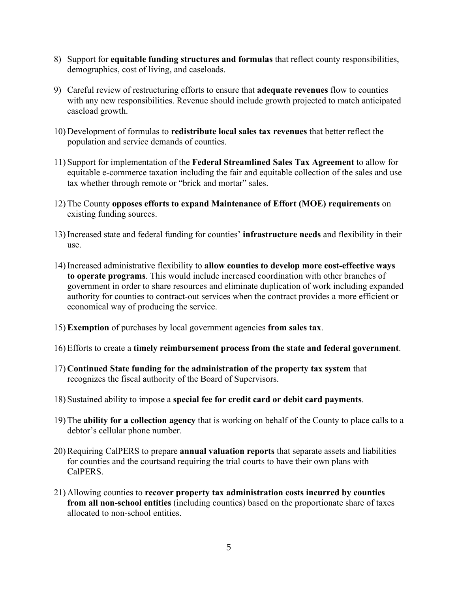- 8) Support for **equitable funding structures and formulas** that reflect county responsibilities, demographics, cost of living, and caseloads.
- 9) Careful review of restructuring efforts to ensure that **adequate revenues** flow to counties with any new responsibilities. Revenue should include growth projected to match anticipated caseload growth.
- 10) Development of formulas to **redistribute local sales tax revenues** that better reflect the population and service demands of counties.
- 11) Support for implementation of the **Federal Streamlined Sales Tax Agreement** to allow for equitable e-commerce taxation including the fair and equitable collection of the sales and use tax whether through remote or "brick and mortar" sales.
- 12) The County **opposes efforts to expand Maintenance of Effort (MOE) requirements** on existing funding sources.
- 13) Increased state and federal funding for counties' **infrastructure needs** and flexibility in their use.
- 14) Increased administrative flexibility to **allow counties to develop more cost-effective ways to operate programs**. This would include increased coordination with other branches of government in order to share resources and eliminate duplication of work including expanded authority for counties to contract-out services when the contract provides a more efficient or economical way of producing the service.
- 15) **Exemption** of purchases by local government agencies **from sales tax**.
- 16) Efforts to create a **timely reimbursement process from the state and federal government**.
- 17) **Continued State funding for the administration of the property tax system** that recognizes the fiscal authority of the Board of Supervisors.
- 18) Sustained ability to impose a **special fee for credit card or debit card payments**.
- 19) The **ability for a collection agency** that is working on behalf of the County to place calls to a debtor's cellular phone number.
- 20) Requiring CalPERS to prepare **annual valuation reports** that separate assets and liabilities for counties and the courtsand requiring the trial courts to have their own plans with CalPERS.
- 21) Allowing counties to **recover property tax administration costs incurred by counties from all non-school entities** (including counties) based on the proportionate share of taxes allocated to non-school entities.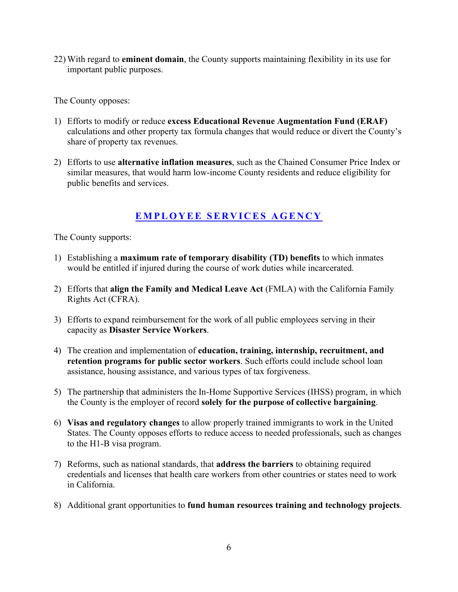22) With regard to **eminent domain**, the County supports maintaining flexibility in its use for important public purposes.

The County opposes:

- 1) Efforts to modify or reduce **excess Educational Revenue Augmentation Fund (ERAF)** calculations and other property tax formula changes that would reduce or divert the County's share of property tax revenues.
- 2) Efforts to use **alternative inflation measures**, such as the Chained Consumer Price Index or similar measures, that would harm low-income County residents and reduce eligibility for public benefits and services.

#### **EMPLOYEE SERVICES AGENCY**

- 1) Establishing a **maximum rate of temporary disability (TD) benefits** to which inmates would be entitled if injured during the course of work duties while incarcerated.
- 2) Efforts that **align the Family and Medical Leave Act** (FMLA) with the California Family Rights Act (CFRA).
- 3) Efforts to expand reimbursement for the work of all public employees serving in their capacity as **Disaster Service Workers**.
- 4) The creation and implementation of **education, training, internship, recruitment, and retention programs for public sector workers**. Such efforts could include school loan assistance, housing assistance, and various types of tax forgiveness.
- 5) The partnership that administers the In-Home Supportive Services (IHSS) program, in which the County is the employer of record **solely for the purpose of collective bargaining**.
- 6) **Visas and regulatory changes** to allow properly trained immigrants to work in the United States. The County opposes efforts to reduce access to needed professionals, such as changes to the H1-B visa program.
- 7) Reforms, such as national standards, that **address the barriers** to obtaining required credentials and licenses that health care workers from other countries or states need to work in California.
- 8) Additional grant opportunities to **fund human resources training and technology projects**.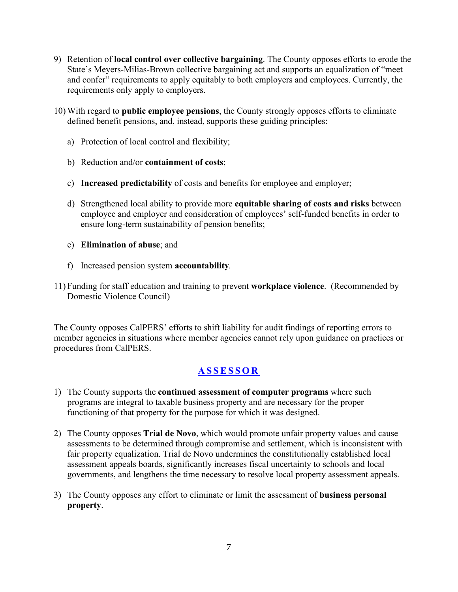- 9) Retention of **local control over collective bargaining**. The County opposes efforts to erode the State's Meyers-Milias-Brown collective bargaining act and supports an equalization of "meet and confer" requirements to apply equitably to both employers and employees. Currently, the requirements only apply to employers.
- 10) With regard to **public employee pensions**, the County strongly opposes efforts to eliminate defined benefit pensions, and, instead, supports these guiding principles:
	- a) Protection of local control and flexibility;
	- b) Reduction and/or **containment of costs**;
	- c) **Increased predictability** of costs and benefits for employee and employer;
	- d) Strengthened local ability to provide more **equitable sharing of costs and risks** between employee and employer and consideration of employees' self-funded benefits in order to ensure long-term sustainability of pension benefits;
	- e) **Elimination of abuse**; and
	- f) Increased pension system **accountability***.*
- 11) Funding for staff education and training to prevent **workplace violence**. (Recommended by Domestic Violence Council)

The County opposes CalPERS' efforts to shift liability for audit findings of reporting errors to member agencies in situations where member agencies cannot rely upon guidance on practices or procedures from CalPERS.

#### **ASSESSOR**

- 1) The County supports the **continued assessment of computer programs** where such programs are integral to taxable business property and are necessary for the proper functioning of that property for the purpose for which it was designed.
- 2) The County opposes **Trial de Novo**, which would promote unfair property values and cause assessments to be determined through compromise and settlement, which is inconsistent with fair property equalization. Trial de Novo undermines the constitutionally established local assessment appeals boards, significantly increases fiscal uncertainty to schools and local governments, and lengthens the time necessary to resolve local property assessment appeals.
- 3) The County opposes any effort to eliminate or limit the assessment of **business personal property**.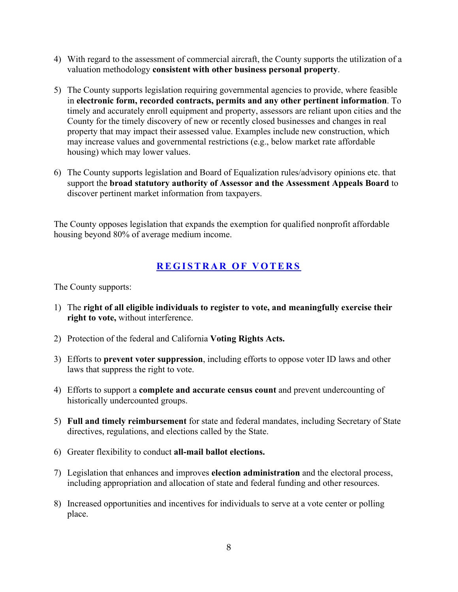- 4) With regard to the assessment of commercial aircraft, the County supports the utilization of a valuation methodology **consistent with other business personal property**.
- 5) The County supports legislation requiring governmental agencies to provide, where feasible in **electronic form, recorded contracts, permits and any other pertinent information**. To timely and accurately enroll equipment and property, assessors are reliant upon cities and the County for the timely discovery of new or recently closed businesses and changes in real property that may impact their assessed value. Examples include new construction, which may increase values and governmental restrictions (e.g., below market rate affordable housing) which may lower values.
- 6) The County supports legislation and Board of Equalization rules/advisory opinions etc. that support the **broad statutory authority of Assessor and the Assessment Appeals Board** to discover pertinent market information from taxpayers.

The County opposes legislation that expands the exemption for qualified nonprofit affordable housing beyond 80% of average medium income.

#### **REGISTRAR OF VOTERS**

- 1) The **right of all eligible individuals to register to vote, and meaningfully exercise their right to vote,** without interference.
- 2) Protection of the federal and California **Voting Rights Acts.**
- 3) Efforts to **prevent voter suppression**, including efforts to oppose voter ID laws and other laws that suppress the right to vote.
- 4) Efforts to support a **complete and accurate census count** and prevent undercounting of historically undercounted groups.
- 5) **Full and timely reimbursement** for state and federal mandates, including Secretary of State directives, regulations, and elections called by the State.
- 6) Greater flexibility to conduct **all-mail ballot elections.**
- 7) Legislation that enhances and improves **election administration** and the electoral process, including appropriation and allocation of state and federal funding and other resources.
- 8) Increased opportunities and incentives for individuals to serve at a vote center or polling place.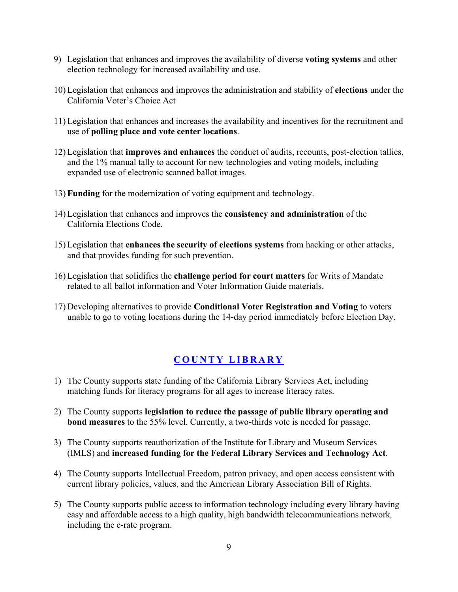- 9) Legislation that enhances and improves the availability of diverse **voting systems** and other election technology for increased availability and use.
- 10) Legislation that enhances and improves the administration and stability of **elections** under the California Voter's Choice Act
- 11) Legislation that enhances and increases the availability and incentives for the recruitment and use of **polling place and vote center locations**.
- 12) Legislation that **improves and enhances** the conduct of audits, recounts, post-election tallies, and the 1% manual tally to account for new technologies and voting models, including expanded use of electronic scanned ballot images.
- 13) **Funding** for the modernization of voting equipment and technology.
- 14) Legislation that enhances and improves the **consistency and administration** of the California Elections Code.
- 15) Legislation that **enhances the security of elections systems** from hacking or other attacks, and that provides funding for such prevention.
- 16) Legislation that solidifies the **challenge period for court matters** for Writs of Mandate related to all ballot information and Voter Information Guide materials.
- 17) Developing alternatives to provide **Conditional Voter Registration and Voting** to voters unable to go to voting locations during the 14-day period immediately before Election Day.

#### **COUNTY LIBRARY**

- 1) The County supports state funding of the California Library Services Act, including matching funds for literacy programs for all ages to increase literacy rates.
- 2) The County supports **legislation to reduce the passage of public library operating and bond measures** to the 55% level. Currently, a two-thirds vote is needed for passage.
- 3) The County supports reauthorization of the Institute for Library and Museum Services (IMLS) and **increased funding for the Federal Library Services and Technology Act**.
- 4) The County supports Intellectual Freedom, patron privacy, and open access consistent with current library policies, values, and the American Library Association Bill of Rights.
- 5) The County supports public access to information technology including every library having easy and affordable access to a high quality, high bandwidth telecommunications network*,*  including the e-rate program.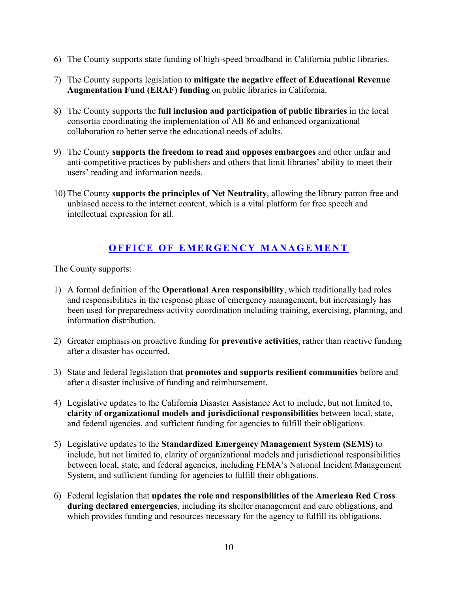- 6) The County supports state funding of high-speed broadband in California public libraries.
- 7) The County supports legislation to **mitigate the negative effect of Educational Revenue Augmentation Fund (ERAF) funding** on public libraries in California.
- 8) The County supports the **full inclusion and participation of public libraries** in the local consortia coordinating the implementation of AB 86 and enhanced organizational collaboration to better serve the educational needs of adults.
- 9) The County **supports the freedom to read and opposes embargoes** and other unfair and anti-competitive practices by publishers and others that limit libraries' ability to meet their users' reading and information needs.
- 10) The County **supports the principles of Net Neutrality**, allowing the library patron free and unbiased access to the internet content, which is a vital platform for free speech and intellectual expression for all.

#### **OFFICE OF EMERGENCY MANAGEMENT**

- 1) A formal definition of the **Operational Area responsibility**, which traditionally had roles and responsibilities in the response phase of emergency management, but increasingly has been used for preparedness activity coordination including training, exercising, planning, and information distribution.
- 2) Greater emphasis on proactive funding for **preventive activities**, rather than reactive funding after a disaster has occurred.
- 3) State and federal legislation that **promotes and supports resilient communities** before and after a disaster inclusive of funding and reimbursement.
- 4) Legislative updates to the California Disaster Assistance Act to include, but not limited to, **clarity of organizational models and jurisdictional responsibilities** between local, state, and federal agencies, and sufficient funding for agencies to fulfill their obligations.
- 5) Legislative updates to the **Standardized Emergency Management System (SEMS)** to include, but not limited to, clarity of organizational models and jurisdictional responsibilities between local, state, and federal agencies, including FEMA's National Incident Management System, and sufficient funding for agencies to fulfill their obligations.
- 6) Federal legislation that **updates the role and responsibilities of the American Red Cross during declared emergencies**, including its shelter management and care obligations, and which provides funding and resources necessary for the agency to fulfill its obligations.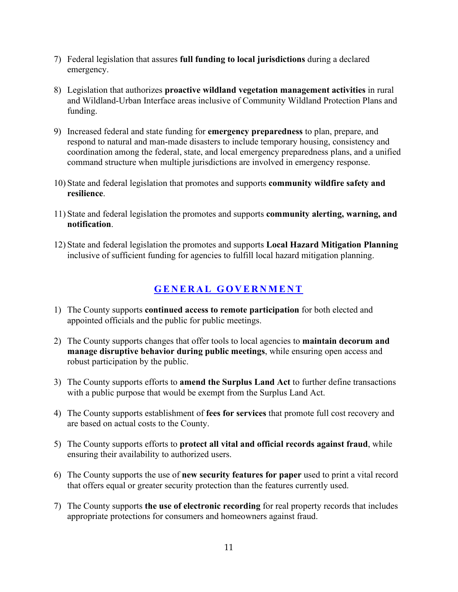- 7) Federal legislation that assures **full funding to local jurisdictions** during a declared emergency.
- 8) Legislation that authorizes **proactive wildland vegetation management activities** in rural and Wildland-Urban Interface areas inclusive of Community Wildland Protection Plans and funding.
- 9) Increased federal and state funding for **emergency preparedness** to plan, prepare, and respond to natural and man-made disasters to include temporary housing, consistency and coordination among the federal, state, and local emergency preparedness plans, and a unified command structure when multiple jurisdictions are involved in emergency response.
- 10) State and federal legislation that promotes and supports **community wildfire safety and resilience**.
- 11) State and federal legislation the promotes and supports **community alerting, warning, and notification**.
- 12) State and federal legislation the promotes and supports **Local Hazard Mitigation Planning**  inclusive of sufficient funding for agencies to fulfill local hazard mitigation planning.

#### **GENERAL GOVERNMENT**

- 1) The County supports **continued access to remote participation** for both elected and appointed officials and the public for public meetings.
- 2) The County supports changes that offer tools to local agencies to **maintain decorum and manage disruptive behavior during public meetings**, while ensuring open access and robust participation by the public.
- 3) The County supports efforts to **amend the Surplus Land Act** to further define transactions with a public purpose that would be exempt from the Surplus Land Act.
- 4) The County supports establishment of **fees for services** that promote full cost recovery and are based on actual costs to the County.
- 5) The County supports efforts to **protect all vital and official records against fraud**, while ensuring their availability to authorized users.
- 6) The County supports the use of **new security features for paper** used to print a vital record that offers equal or greater security protection than the features currently used.
- 7) The County supports **the use of electronic recording** for real property records that includes appropriate protections for consumers and homeowners against fraud.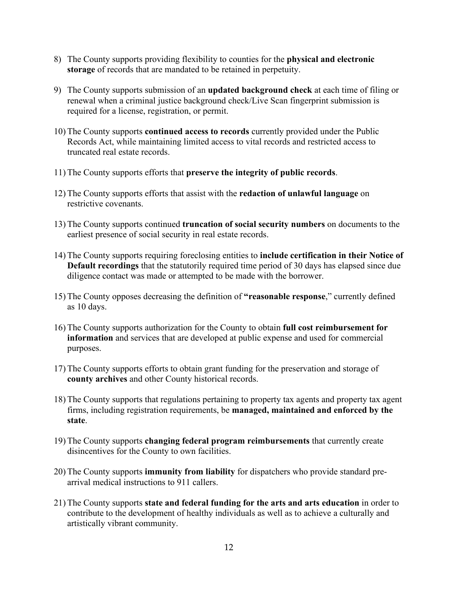- 8) The County supports providing flexibility to counties for the **physical and electronic storage** of records that are mandated to be retained in perpetuity.
- 9) The County supports submission of an **updated background check** at each time of filing or renewal when a criminal justice background check/Live Scan fingerprint submission is required for a license, registration, or permit.
- 10) The County supports **continued access to records** currently provided under the Public Records Act, while maintaining limited access to vital records and restricted access to truncated real estate records.
- 11) The County supports efforts that **preserve the integrity of public records**.
- 12) The County supports efforts that assist with the **redaction of unlawful language** on restrictive covenants.
- 13) The County supports continued **truncation of social security numbers** on documents to the earliest presence of social security in real estate records.
- 14) The County supports requiring foreclosing entities to **include certification in their Notice of Default recordings** that the statutorily required time period of 30 days has elapsed since due diligence contact was made or attempted to be made with the borrower.
- 15) The County opposes decreasing the definition of **"reasonable response**," currently defined as 10 days.
- 16) The County supports authorization for the County to obtain **full cost reimbursement for information** and services that are developed at public expense and used for commercial purposes.
- 17) The County supports efforts to obtain grant funding for the preservation and storage of **county archives** and other County historical records.
- 18) The County supports that regulations pertaining to property tax agents and property tax agent firms, including registration requirements, be **managed, maintained and enforced by the state**.
- 19) The County supports **changing federal program reimbursements** that currently create disincentives for the County to own facilities.
- 20) The County supports **immunity from liability** for dispatchers who provide standard prearrival medical instructions to 911 callers.
- 21) The County supports **state and federal funding for the arts and arts education** in order to contribute to the development of healthy individuals as well as to achieve a culturally and artistically vibrant community.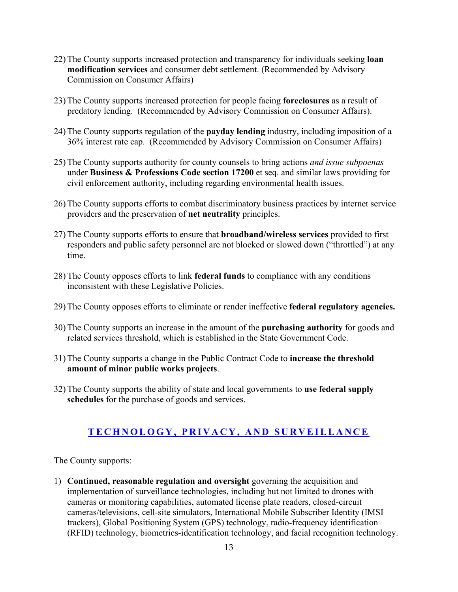- 22) The County supports increased protection and transparency for individuals seeking **loan modification services** and consumer debt settlement. (Recommended by Advisory Commission on Consumer Affairs)
- 23) The County supports increased protection for people facing **foreclosures** as a result of predatory lending. (Recommended by Advisory Commission on Consumer Affairs).
- 24) The County supports regulation of the **payday lending** industry, including imposition of a 36% interest rate cap. (Recommended by Advisory Commission on Consumer Affairs)
- 25) The County supports authority for county counsels to bring actions *and issue subpoenas*  under **Business & Professions Code section 17200** et seq. and similar laws providing for civil enforcement authority, including regarding environmental health issues.
- 26) The County supports efforts to combat discriminatory business practices by internet service providers and the preservation of **net neutrality** principles.
- 27) The County supports efforts to ensure that **broadband/wireless services** provided to first responders and public safety personnel are not blocked or slowed down ("throttled") at any time.
- 28) The County opposes efforts to link **federal funds** to compliance with any conditions inconsistent with these Legislative Policies.
- 29) The County opposes efforts to eliminate or render ineffective **federal regulatory agencies.**
- 30) The County supports an increase in the amount of the **purchasing authority** for goods and related services threshold, which is established in the State Government Code.
- 31) The County supports a change in the Public Contract Code to **increase the threshold amount of minor public works projects**.
- 32) The County supports the ability of state and local governments to **use federal supply schedules** for the purchase of goods and services.

#### **TECHNOLOGY, PRIVACY, AND SURVEILLANCE**

The County supports:

1) **Continued, reasonable regulation and oversight** governing the acquisition and implementation of surveillance technologies, including but not limited to drones with cameras or monitoring capabilities, automated license plate readers, closed-circuit cameras/televisions, cell-site simulators, International Mobile Subscriber Identity (IMSI trackers), Global Positioning System (GPS) technology, radio-frequency identification (RFID) technology, biometrics-identification technology, and facial recognition technology.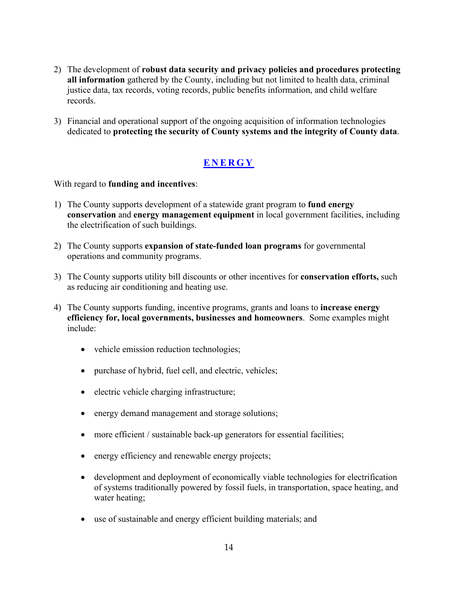- 2) The development of **robust data security and privacy policies and procedures protecting all information** gathered by the County, including but not limited to health data, criminal justice data, tax records, voting records, public benefits information, and child welfare records.
- 3) Financial and operational support of the ongoing acquisition of information technologies dedicated to **protecting the security of County systems and the integrity of County data**.

#### **ENERGY**

With regard to **funding and incentives**:

- 1) The County supports development of a statewide grant program to **fund energy conservation** and **energy management equipment** in local government facilities, including the electrification of such buildings.
- 2) The County supports **expansion of state-funded loan programs** for governmental operations and community programs.
- 3) The County supports utility bill discounts or other incentives for **conservation efforts,** such as reducing air conditioning and heating use.
- 4) The County supports funding, incentive programs, grants and loans to **increase energy efficiency for, local governments, businesses and homeowners**. Some examples might include:
	- vehicle emission reduction technologies;
	- purchase of hybrid, fuel cell, and electric, vehicles;
	- electric vehicle charging infrastructure;
	- energy demand management and storage solutions;
	- more efficient / sustainable back-up generators for essential facilities;
	- energy efficiency and renewable energy projects;
	- development and deployment of economically viable technologies for electrification of systems traditionally powered by fossil fuels, in transportation, space heating, and water heating;
	- use of sustainable and energy efficient building materials; and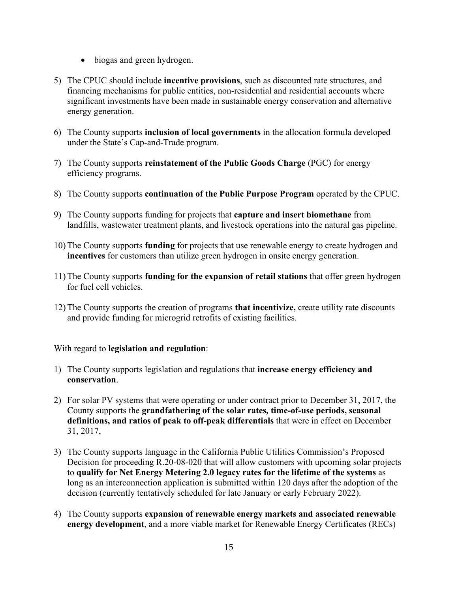- biogas and green hydrogen.
- 5) The CPUC should include **incentive provisions**, such as discounted rate structures, and financing mechanisms for public entities, non-residential and residential accounts where significant investments have been made in sustainable energy conservation and alternative energy generation.
- 6) The County supports **inclusion of local governments** in the allocation formula developed under the State's Cap-and-Trade program.
- 7) The County supports **reinstatement of the Public Goods Charge** (PGC) for energy efficiency programs.
- 8) The County supports **continuation of the Public Purpose Program** operated by the CPUC.
- 9) The County supports funding for projects that **capture and insert biomethane** from landfills, wastewater treatment plants, and livestock operations into the natural gas pipeline.
- 10) The County supports **funding** for projects that use renewable energy to create hydrogen and **incentives** for customers than utilize green hydrogen in onsite energy generation.
- 11) The County supports **funding for the expansion of retail stations** that offer green hydrogen for fuel cell vehicles.
- 12) The County supports the creation of programs **that incentivize,** create utility rate discounts and provide funding for microgrid retrofits of existing facilities.

#### With regard to **legislation and regulation**:

- 1) The County supports legislation and regulations that **increase energy efficiency and conservation**.
- 2) For solar PV systems that were operating or under contract prior to December 31, 2017, the County supports the **grandfathering of the solar rates***,* **time-of-use periods, seasonal definitions, and ratios of peak to off-peak differentials** that were in effect on December 31, 2017,
- 3) The County supports language in the California Public Utilities Commission's Proposed Decision for proceeding R.20-08-020 that will allow customers with upcoming solar projects to **qualify for Net Energy Metering 2.0 legacy rates for the lifetime of the systems** as long as an interconnection application is submitted within 120 days after the adoption of the decision (currently tentatively scheduled for late January or early February 2022).
- 4) The County supports **expansion of renewable energy markets and associated renewable energy development**, and a more viable market for Renewable Energy Certificates (RECs)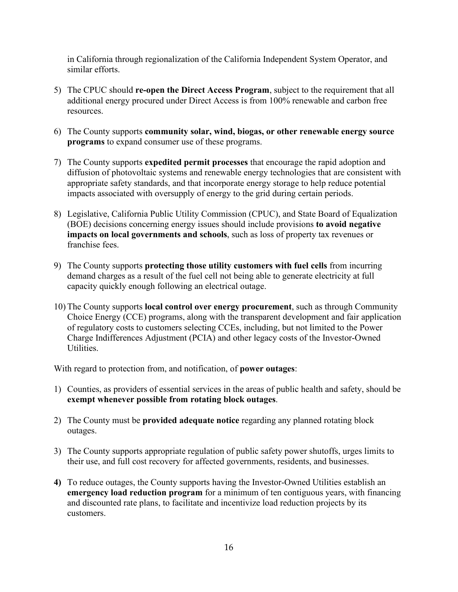in California through regionalization of the California Independent System Operator, and similar efforts.

- 5) The CPUC should **re-open the Direct Access Program**, subject to the requirement that all additional energy procured under Direct Access is from 100% renewable and carbon free resources.
- 6) The County supports **community solar, wind, biogas, or other renewable energy source programs** to expand consumer use of these programs.
- 7) The County supports **expedited permit processes** that encourage the rapid adoption and diffusion of photovoltaic systems and renewable energy technologies that are consistent with appropriate safety standards, and that incorporate energy storage to help reduce potential impacts associated with oversupply of energy to the grid during certain periods.
- 8) Legislative, California Public Utility Commission (CPUC), and State Board of Equalization (BOE) decisions concerning energy issues should include provisions **to avoid negative impacts on local governments and schools**, such as loss of property tax revenues or franchise fees.
- 9) The County supports **protecting those utility customers with fuel cells** from incurring demand charges as a result of the fuel cell not being able to generate electricity at full capacity quickly enough following an electrical outage.
- 10) The County supports **local control over energy procurement**, such as through Community Choice Energy (CCE) programs, along with the transparent development and fair application of regulatory costs to customers selecting CCEs, including, but not limited to the Power Charge Indifferences Adjustment (PCIA) and other legacy costs of the Investor-Owned Utilities.

With regard to protection from, and notification, of **power outages**:

- 1) Counties, as providers of essential services in the areas of public health and safety, should be **exempt whenever possible from rotating block outages**.
- 2) The County must be **provided adequate notice** regarding any planned rotating block outages.
- 3) The County supports appropriate regulation of public safety power shutoffs, urges limits to their use, and full cost recovery for affected governments, residents, and businesses.
- **4)** To reduce outages, the County supports having the Investor-Owned Utilities establish an **emergency load reduction program** for a minimum of ten contiguous years, with financing and discounted rate plans, to facilitate and incentivize load reduction projects by its customers.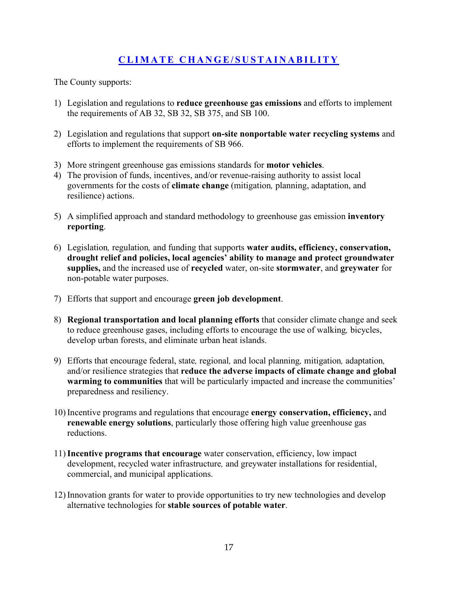### **CLIMATE CHANGE/SUSTAINABILITY**

- 1) Legislation and regulations to **reduce greenhouse gas emissions** and efforts to implement the requirements of AB 32, SB 32, SB 375, and SB 100.
- 2) Legislation and regulations that support **on-site nonportable water recycling systems** and efforts to implement the requirements of SB 966.
- 3) More stringent greenhouse gas emissions standards for **motor vehicles**.
- 4) The provision of funds, incentives, and/or revenue-raising authority to assist local governments for the costs of **climate change** (mitigation*,* planning, adaptation, and resilience) actions.
- 5) A simplified approach and standard methodology to greenhouse gas emission **inventory reporting**.
- 6) Legislation*,* regulation*,* and funding that supports **water audits, efficiency, conservation, drought relief and policies, local agencies' ability to manage and protect groundwater supplies,** and the increased use of **recycled** water, on-site **stormwater**, and **greywater** for non-potable water purposes.
- 7) Efforts that support and encourage **green job development**.
- 8) **Regional transportation and local planning efforts** that consider climate change and seek to reduce greenhouse gases, including efforts to encourage the use of walking*,* bicycles, develop urban forests, and eliminate urban heat islands.
- 9) Efforts that encourage federal, state*,* regional*,* and local planning*,* mitigation*,* adaptation*,*  and/or resilience strategies that **reduce the adverse impacts of climate change and global warming to communities** that will be particularly impacted and increase the communities' preparedness and resiliency.
- 10) Incentive programs and regulations that encourage **energy conservation, efficiency,** and **renewable energy solutions**, particularly those offering high value greenhouse gas reductions.
- 11)**Incentive programs that encourage** water conservation, efficiency, low impact development, recycled water infrastructure*,* and greywater installations for residential, commercial, and municipal applications.
- 12) Innovation grants for water to provide opportunities to try new technologies and develop alternative technologies for **stable sources of potable water**.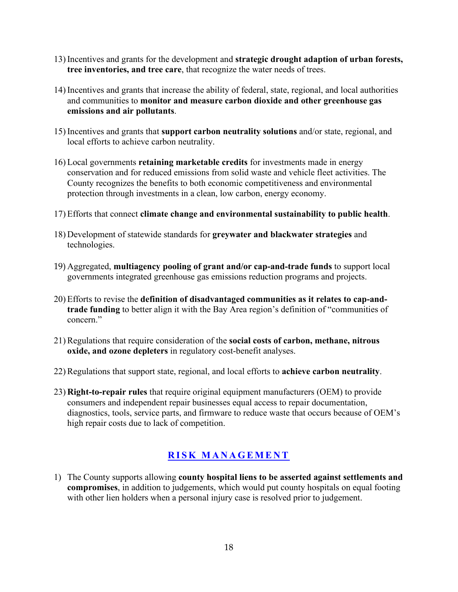- 13) Incentives and grants for the development and **strategic drought adaption of urban forests, tree inventories, and tree care**, that recognize the water needs of trees.
- 14) Incentives and grants that increase the ability of federal, state, regional, and local authorities and communities to **monitor and measure carbon dioxide and other greenhouse gas emissions and air pollutants**.
- 15) Incentives and grants that **support carbon neutrality solutions** and/or state, regional, and local efforts to achieve carbon neutrality.
- 16) Local governments **retaining marketable credits** for investments made in energy conservation and for reduced emissions from solid waste and vehicle fleet activities. The County recognizes the benefits to both economic competitiveness and environmental protection through investments in a clean, low carbon, energy economy.
- 17) Efforts that connect **climate change and environmental sustainability to public health**.
- 18) Development of statewide standards for **greywater and blackwater strategies** and technologies.
- 19) Aggregated, **multiagency pooling of grant and/or cap-and-trade funds** to support local governments integrated greenhouse gas emissions reduction programs and projects.
- 20) Efforts to revise the **definition of disadvantaged communities as it relates to cap-andtrade funding** to better align it with the Bay Area region's definition of "communities of concern."
- 21) Regulations that require consideration of the **social costs of carbon, methane, nitrous oxide, and ozone depleters** in regulatory cost-benefit analyses.
- 22) Regulations that support state, regional, and local efforts to **achieve carbon neutrality**.
- 23) **Right-to-repair rules** that require original equipment manufacturers (OEM) to provide consumers and independent repair businesses equal access to repair documentation, diagnostics, tools, service parts, and firmware to reduce waste that occurs because of OEM's high repair costs due to lack of competition.

#### **RISK MANAGEMENT**

1) The County supports allowing **county hospital liens to be asserted against settlements and compromises**, in addition to judgements, which would put county hospitals on equal footing with other lien holders when a personal injury case is resolved prior to judgement.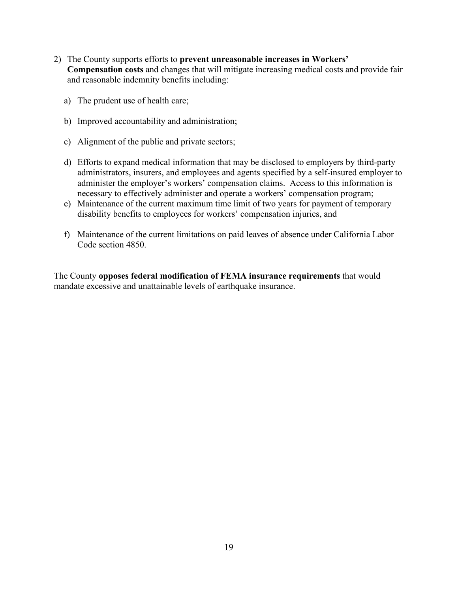- 2) The County supports efforts to **prevent unreasonable increases in Workers' Compensation costs** and changes that will mitigate increasing medical costs and provide fair and reasonable indemnity benefits including:
	- a) The prudent use of health care;
	- b) Improved accountability and administration;
	- c) Alignment of the public and private sectors;
	- d) Efforts to expand medical information that may be disclosed to employers by third-party administrators, insurers, and employees and agents specified by a self-insured employer to administer the employer's workers' compensation claims. Access to this information is necessary to effectively administer and operate a workers' compensation program;
	- e) Maintenance of the current maximum time limit of two years for payment of temporary disability benefits to employees for workers' compensation injuries, and
	- f) Maintenance of the current limitations on paid leaves of absence under California Labor Code section 4850.

The County **opposes federal modification of FEMA insurance requirements** that would mandate excessive and unattainable levels of earthquake insurance.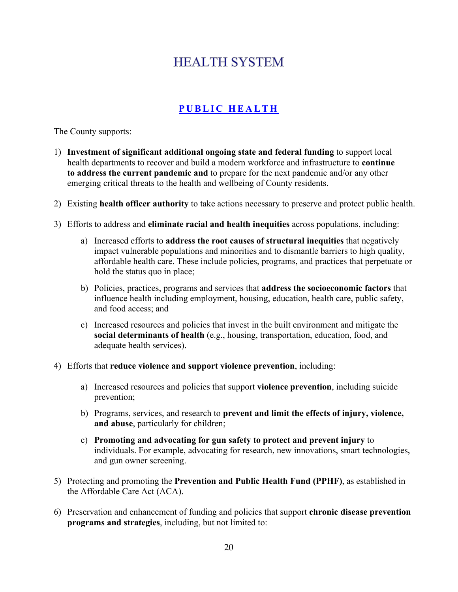# **HEALTH SYSTEM**

## **PUBLIC HEALTH**

- 1) **Investment of significant additional ongoing state and federal funding** to support local health departments to recover and build a modern workforce and infrastructure to **continue to address the current pandemic and** to prepare for the next pandemic and/or any other emerging critical threats to the health and wellbeing of County residents.
- 2) Existing **health officer authority** to take actions necessary to preserve and protect public health.
- 3) Efforts to address and **eliminate racial and health inequities** across populations, including:
	- a) Increased efforts to **address the root causes of structural inequities** that negatively impact vulnerable populations and minorities and to dismantle barriers to high quality, affordable health care. These include policies, programs, and practices that perpetuate or hold the status quo in place;
	- b) Policies, practices, programs and services that **address the socioeconomic factors** that influence health including employment, housing, education, health care, public safety, and food access; and
	- c) Increased resources and policies that invest in the built environment and mitigate the **social determinants of health** (e.g., housing, transportation, education, food, and adequate health services).
- 4) Efforts that **reduce violence and support violence prevention**, including:
	- a) Increased resources and policies that support **violence prevention**, including suicide prevention;
	- b) Programs, services, and research to **prevent and limit the effects of injury, violence, and abuse**, particularly for children;
	- c) **Promoting and advocating for gun safety to protect and prevent injury** to individuals. For example, advocating for research, new innovations, smart technologies, and gun owner screening.
- 5) Protecting and promoting the **Prevention and Public Health Fund (PPHF)**, as established in the Affordable Care Act (ACA).
- 6) Preservation and enhancement of funding and policies that support **chronic disease prevention programs and strategies**, including, but not limited to: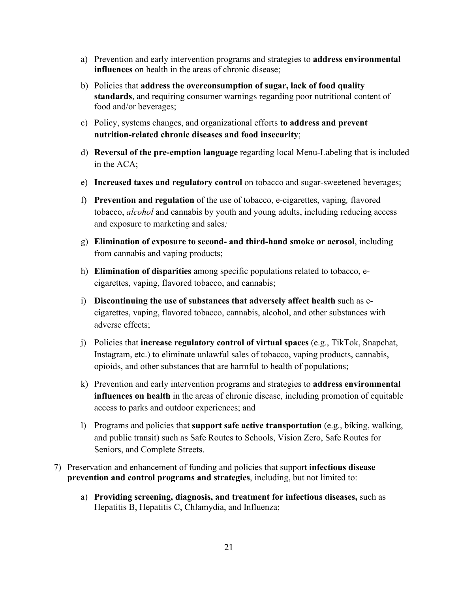- a) Prevention and early intervention programs and strategies to **address environmental influences** on health in the areas of chronic disease;
- b) Policies that **address the overconsumption of sugar, lack of food quality standards**, and requiring consumer warnings regarding poor nutritional content of food and/or beverages;
- c) Policy, systems changes, and organizational efforts **to address and prevent nutrition-related chronic diseases and food insecurity**;
- d) **Reversal of the pre-emption language** regarding local Menu-Labeling that is included in the ACA;
- e) **Increased taxes and regulatory control** on tobacco and sugar-sweetened beverages;
- f) **Prevention and regulation** of the use of tobacco, e-cigarettes, vaping*,* flavored tobacco, *alcohol* and cannabis by youth and young adults, including reducing access and exposure to marketing and sales*;*
- g) **Elimination of exposure to second- and third-hand smoke or aerosol**, including from cannabis and vaping products;
- h) **Elimination of disparities** among specific populations related to tobacco, ecigarettes, vaping, flavored tobacco, and cannabis;
- i) **Discontinuing the use of substances that adversely affect health** such as ecigarettes, vaping, flavored tobacco, cannabis, alcohol, and other substances with adverse effects;
- j) Policies that **increase regulatory control of virtual spaces** (e.g., TikTok, Snapchat, Instagram, etc.) to eliminate unlawful sales of tobacco, vaping products, cannabis, opioids, and other substances that are harmful to health of populations;
- k) Prevention and early intervention programs and strategies to **address environmental influences on health** in the areas of chronic disease, including promotion of equitable access to parks and outdoor experiences; and
- l) Programs and policies that **support safe active transportation** (e.g., biking, walking, and public transit) such as Safe Routes to Schools, Vision Zero, Safe Routes for Seniors, and Complete Streets.
- 7) Preservation and enhancement of funding and policies that support **infectious disease prevention and control programs and strategies**, including, but not limited to:
	- a) **Providing screening, diagnosis, and treatment for infectious diseases,** such as Hepatitis B, Hepatitis C, Chlamydia, and Influenza;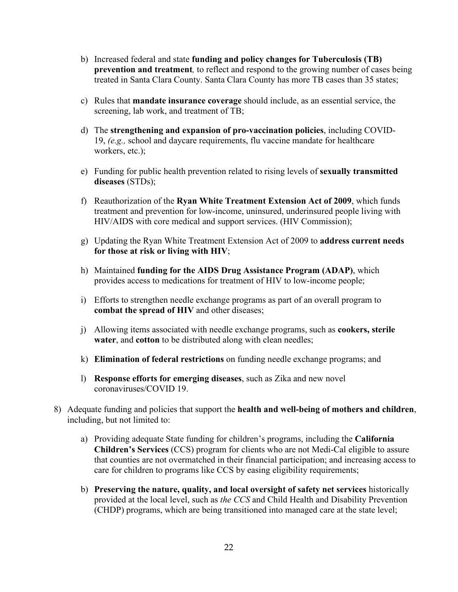- b) Increased federal and state **funding and policy changes for Tuberculosis (TB) prevention and treatment***,* to reflect and respond to the growing number of cases being treated in Santa Clara County. Santa Clara County has more TB cases than 35 states;
- c) Rules that **mandate insurance coverage** should include, as an essential service, the screening, lab work, and treatment of TB;
- d) The **strengthening and expansion of pro-vaccination policies**, including COVID-19, *(e.g.,* school and daycare requirements, flu vaccine mandate for healthcare workers, etc.);
- e) Funding for public health prevention related to rising levels of **sexually transmitted diseases** (STDs);
- f) Reauthorization of the **Ryan White Treatment Extension Act of 2009**, which funds treatment and prevention for low-income, uninsured, underinsured people living with HIV/AIDS with core medical and support services. (HIV Commission);
- g) Updating the Ryan White Treatment Extension Act of 2009 to **address current needs for those at risk or living with HIV**;
- h) Maintained **funding for the AIDS Drug Assistance Program (ADAP)**, which provides access to medications for treatment of HIV to low-income people;
- i) Efforts to strengthen needle exchange programs as part of an overall program to **combat the spread of HIV** and other diseases;
- j) Allowing items associated with needle exchange programs, such as **cookers, sterile water**, and **cotton** to be distributed along with clean needles;
- k) **Elimination of federal restrictions** on funding needle exchange programs; and
- l) **Response efforts for emerging diseases**, such as Zika and new novel coronaviruses/COVID 19.
- 8) Adequate funding and policies that support the **health and well-being of mothers and children**, including, but not limited to:
	- a) Providing adequate State funding for children's programs, including the **California Children's Services** (CCS) program for clients who are not Medi-Cal eligible to assure that counties are not overmatched in their financial participation; and increasing access to care for children to programs like CCS by easing eligibility requirements;
	- b) **Preserving the nature, quality, and local oversight of safety net services** historically provided at the local level, such as *the CCS* and Child Health and Disability Prevention (CHDP) programs, which are being transitioned into managed care at the state level;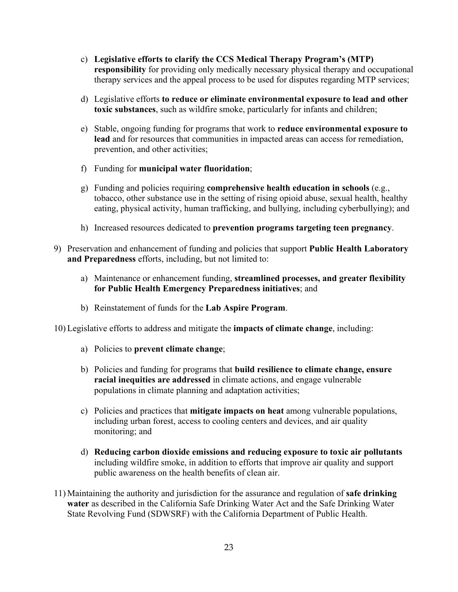- c) **Legislative efforts to clarify the CCS Medical Therapy Program's (MTP) responsibility** for providing only medically necessary physical therapy and occupational therapy services and the appeal process to be used for disputes regarding MTP services;
- d) Legislative efforts **to reduce or eliminate environmental exposure to lead and other toxic substances**, such as wildfire smoke, particularly for infants and children;
- e) Stable, ongoing funding for programs that work to **reduce environmental exposure to lead** and for resources that communities in impacted areas can access for remediation, prevention, and other activities;
- f) Funding for **municipal water fluoridation**;
- g) Funding and policies requiring **comprehensive health education in schools** (e.g., tobacco, other substance use in the setting of rising opioid abuse, sexual health, healthy eating, physical activity, human trafficking, and bullying, including cyberbullying); and
- h) Increased resources dedicated to **prevention programs targeting teen pregnancy**.
- 9) Preservation and enhancement of funding and policies that support **Public Health Laboratory and Preparedness** efforts, including, but not limited to:
	- a) Maintenance or enhancement funding, **streamlined processes, and greater flexibility for Public Health Emergency Preparedness initiatives**; and
	- b) Reinstatement of funds for the **Lab Aspire Program**.
- 10) Legislative efforts to address and mitigate the **impacts of climate change**, including:
	- a) Policies to **prevent climate change**;
	- b) Policies and funding for programs that **build resilience to climate change, ensure racial inequities are addressed** in climate actions, and engage vulnerable populations in climate planning and adaptation activities;
	- c) Policies and practices that **mitigate impacts on heat** among vulnerable populations, including urban forest, access to cooling centers and devices, and air quality monitoring; and
	- d) **Reducing carbon dioxide emissions and reducing exposure to toxic air pollutants**  including wildfire smoke, in addition to efforts that improve air quality and support public awareness on the health benefits of clean air.
- 11) Maintaining the authority and jurisdiction for the assurance and regulation of **safe drinking water** as described in the California Safe Drinking Water Act and the Safe Drinking Water State Revolving Fund (SDWSRF) with the California Department of Public Health.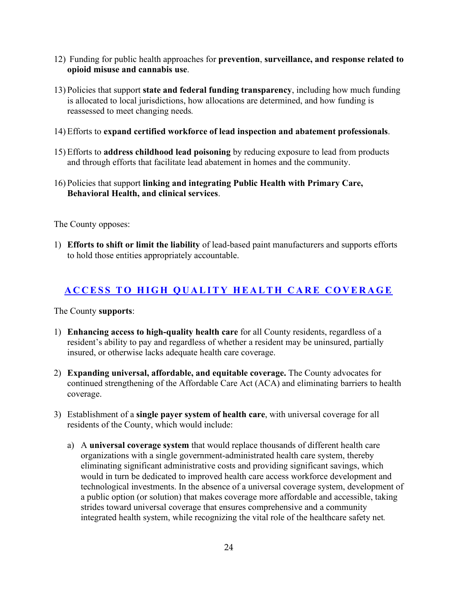- 12) Funding for public health approaches for **prevention**, **surveillance, and response related to opioid misuse and cannabis use**.
- 13) Policies that support **state and federal funding transparency**, including how much funding is allocated to local jurisdictions, how allocations are determined, and how funding is reassessed to meet changing needs*.*
- 14) Efforts to **expand certified workforce of lead inspection and abatement professionals**.
- 15) Efforts to **address childhood lead poisoning** by reducing exposure to lead from products and through efforts that facilitate lead abatement in homes and the community.
- 16) Policies that support **linking and integrating Public Health with Primary Care, Behavioral Health, and clinical services**.

The County opposes:

1) **Efforts to shift or limit the liability** of lead-based paint manufacturers and supports efforts to hold those entities appropriately accountable.

#### **ACCESS TO HIGH QUALITY HEALTH CARE COVERAGE**

- 1) **Enhancing access to high-quality health care** for all County residents, regardless of a resident's ability to pay and regardless of whether a resident may be uninsured, partially insured, or otherwise lacks adequate health care coverage.
- 2) **Expanding universal, affordable, and equitable coverage.** The County advocates for continued strengthening of the Affordable Care Act (ACA) and eliminating barriers to health coverage.
- 3) Establishment of a **single payer system of health care**, with universal coverage for all residents of the County, which would include:
	- a) A **universal coverage system** that would replace thousands of different health care organizations with a single government-administrated health care system, thereby eliminating significant administrative costs and providing significant savings, which would in turn be dedicated to improved health care access workforce development and technological investments. In the absence of a universal coverage system, development of a public option (or solution) that makes coverage more affordable and accessible, taking strides toward universal coverage that ensures comprehensive and a community integrated health system, while recognizing the vital role of the healthcare safety net*.*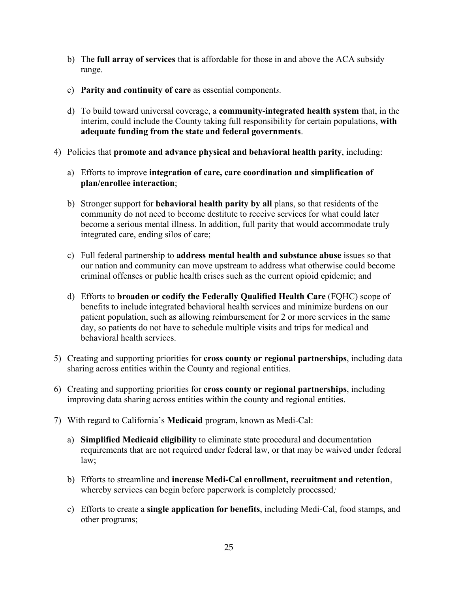- b) The **full array of services** that is affordable for those in and above the ACA subsidy range.
- c) **Parity and** *c***ontinuity of care** as essential component*s.*
- d) To build toward universal coverage, a **community**-**integrated health system** that, in the interim, could include the County taking full responsibility for certain populations, **with adequate funding from the state and federal governments**.
- 4) Policies that **promote and advance physical and behavioral health parity**, including:
	- a) Efforts to improve **integration of care, care coordination and simplification of plan/enrollee interaction**;
	- b) Stronger support for **behavioral health parity by all** plans, so that residents of the community do not need to become destitute to receive services for what could later become a serious mental illness. In addition, full parity that would accommodate truly integrated care, ending silos of care;
	- c) Full federal partnership to **address mental health and substance abuse** issues so that our nation and community can move upstream to address what otherwise could become criminal offenses or public health crises such as the current opioid epidemic; and
	- d) Efforts to **broaden or codify the Federally Qualified Health Care** (FQHC) scope of benefits to include integrated behavioral health services and minimize burdens on our patient population, such as allowing reimbursement for 2 or more services in the same day, so patients do not have to schedule multiple visits and trips for medical and behavioral health services.
- 5) Creating and supporting priorities for **cross county or regional partnerships**, including data sharing across entities within the County and regional entities.
- 6) Creating and supporting priorities for **cross county or regional partnerships**, including improving data sharing across entities within the county and regional entities.
- 7) With regard to California's **Medicaid** program, known as Medi-Cal:
	- a) **Simplified Medicaid eligibility** to eliminate state procedural and documentation requirements that are not required under federal law, or that may be waived under federal law;
	- b) Efforts to streamline and **increase Medi-Cal enrollment, recruitment and retention**, whereby services can begin before paperwork is completely processed*;*
	- c) Efforts to create a **single application for benefits**, including Medi-Cal, food stamps, and other programs;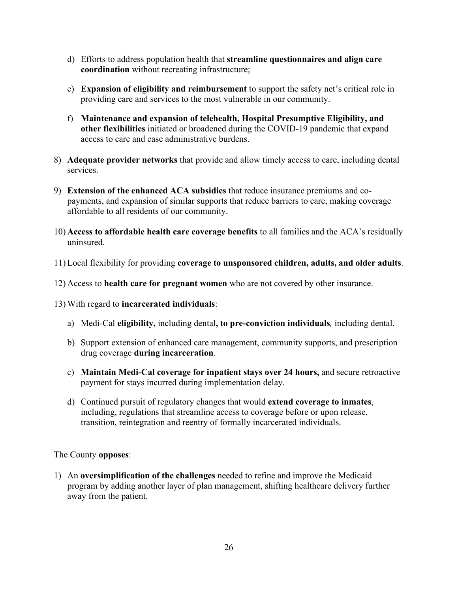- d) Efforts to address population health that **streamline questionnaires and align care coordination** without recreating infrastructure;
- e) **Expansion of eligibility and reimbursement** to support the safety net's critical role in providing care and services to the most vulnerable in our community.
- f) **Maintenance and expansion of telehealth, Hospital Presumptive Eligibility, and other flexibilities** initiated or broadened during the COVID-19 pandemic that expand access to care and ease administrative burdens.
- 8) **Adequate provider networks** that provide and allow timely access to care, including dental services.
- 9) **Extension of the enhanced ACA subsidies** that reduce insurance premiums and copayments, and expansion of similar supports that reduce barriers to care, making coverage affordable to all residents of our community.
- 10) **Access to affordable health care coverage benefits** to all families and the ACA's residually uninsured.
- 11) Local flexibility for providing **coverage to unsponsored children, adults, and older adults**.
- 12) Access to **health care for pregnant women** who are not covered by other insurance.
- 13) With regard to **incarcerated individuals**:
	- a) Medi-Cal **eligibility,** including dental**, to pre-conviction individuals***,* including dental.
	- b) Support extension of enhanced care management, community supports, and prescription drug coverage **during incarceration**.
	- c) **Maintain Medi-Cal coverage for inpatient stays over 24 hours,** and secure retroactive payment for stays incurred during implementation delay.
	- d) Continued pursuit of regulatory changes that would **extend coverage to inmates**, including, regulations that streamline access to coverage before or upon release, transition, reintegration and reentry of formally incarcerated individuals.

The County **opposes**:

1) An **oversimplification of the challenges** needed to refine and improve the Medicaid program by adding another layer of plan management, shifting healthcare delivery further away from the patient.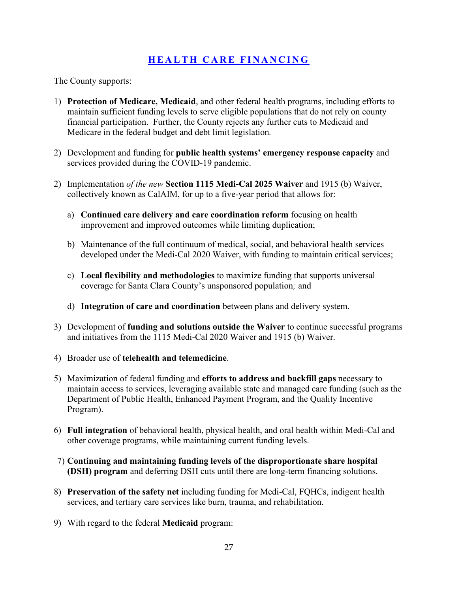#### **HEALTH CARE FINANCING**

- 1) **Protection of Medicare, Medicaid**, and other federal health programs, including efforts to maintain sufficient funding levels to serve eligible populations that do not rely on county financial participation. Further, the County rejects any further cuts to Medicaid and Medicare in the federal budget and debt limit legislation*.*
- 2) Development and funding for **public health systems' emergency response capacity** and services provided during the COVID-19 pandemic.
- 2) Implementation *of the new* **Section 1115 Medi-Cal 2025 Waiver** and 1915 (b) Waiver, collectively known as CalAIM, for up to a five-year period that allows for:
	- a) **Continued care delivery and care coordination reform** focusing on health improvement and improved outcomes while limiting duplication;
	- b) Maintenance of the full continuum of medical, social, and behavioral health services developed under the Medi-Cal 2020 Waiver, with funding to maintain critical services;
	- c) **Local flexibility and methodologies** to maximize funding that supports universal coverage for Santa Clara County's unsponsored population*;* and
	- d) **Integration of care and coordination** between plans and delivery system.
- 3) Development of **funding and solutions outside the Waiver** to continue successful programs and initiatives from the 1115 Medi-Cal 2020 Waiver and 1915 (b) Waiver.
- 4) Broader use of **telehealth and telemedicine**.
- 5) Maximization of federal funding and **efforts to address and backfill gaps** necessary to maintain access to services, leveraging available state and managed care funding (such as the Department of Public Health, Enhanced Payment Program, and the Quality Incentive Program).
- 6) **Full integration** of behavioral health, physical health, and oral health within Medi-Cal and other coverage programs, while maintaining current funding levels.
- 7) **Continuing and maintaining funding levels of the disproportionate share hospital (DSH) program** and deferring DSH cuts until there are long-term financing solutions.
- 8) **Preservation of the safety net** including funding for Medi-Cal, FQHCs, indigent health services, and tertiary care services like burn, trauma, and rehabilitation.
- 9) With regard to the federal **Medicaid** program: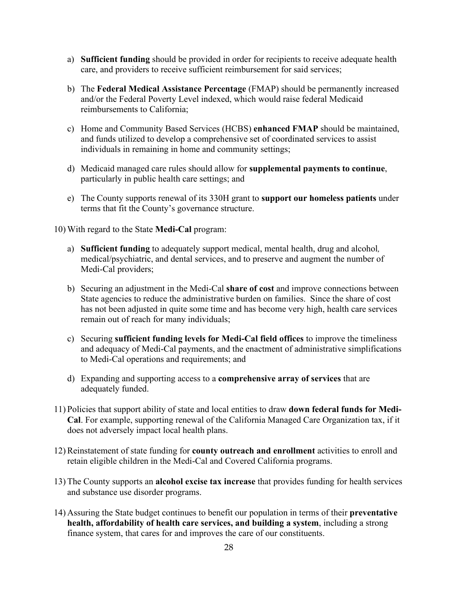- a) **Sufficient funding** should be provided in order for recipients to receive adequate health care, and providers to receive sufficient reimbursement for said services;
- b) The **Federal Medical Assistance Percentage** (FMAP) should be permanently increased and/or the Federal Poverty Level indexed, which would raise federal Medicaid reimbursements to California;
- c) Home and Community Based Services (HCBS) **enhanced FMAP** should be maintained, and funds utilized to develop a comprehensive set of coordinated services to assist individuals in remaining in home and community settings;
- d) Medicaid managed care rules should allow for **supplemental payments to continue**, particularly in public health care settings; and
- e) The County supports renewal of its 330H grant to **support our homeless patients** under terms that fit the County's governance structure.

10) With regard to the State **Medi-Cal** program:

- a) **Sufficient funding** to adequately support medical, mental health, drug and alcohol*,*  medical/psychiatric, and dental services, and to preserve and augment the number of Medi-Cal providers;
- b) Securing an adjustment in the Medi-Cal **share of cost** and improve connections between State agencies to reduce the administrative burden on families. Since the share of cost has not been adjusted in quite some time and has become very high, health care services remain out of reach for many individuals;
- c) Securing **sufficient funding levels for Medi-Cal field offices** to improve the timeliness and adequacy of Medi-Cal payments, and the enactment of administrative simplifications to Medi-Cal operations and requirements; and
- d) Expanding and supporting access to a **comprehensive array of services** that are adequately funded.
- 11) Policies that support ability of state and local entities to draw **down federal funds for Medi-Cal**. For example, supporting renewal of the California Managed Care Organization tax, if it does not adversely impact local health plans.
- 12) Reinstatement of state funding for **county outreach and enrollment** activities to enroll and retain eligible children in the Medi-Cal and Covered California programs.
- 13) The County supports an **alcohol excise tax increase** that provides funding for health services and substance use disorder programs.
- 14) Assuring the State budget continues to benefit our population in terms of their **preventative health, affordability of health care services, and building a system**, including a strong finance system, that cares for and improves the care of our constituents.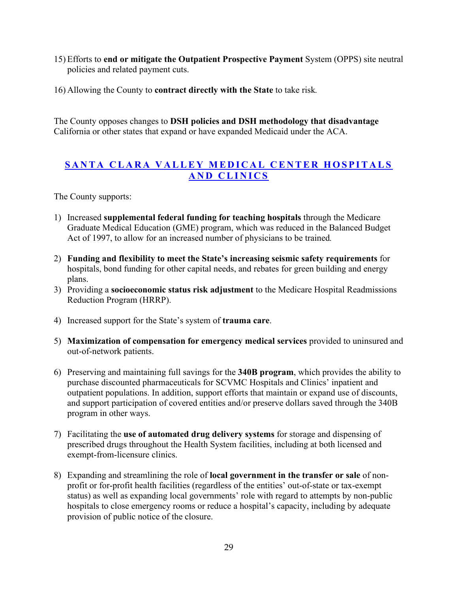- 15) Efforts to **end or mitigate the Outpatient Prospective Payment** System (OPPS) site neutral policies and related payment cuts.
- 16) Allowing the County to **contract directly with the State** to take risk*.*

The County opposes changes to **DSH policies and DSH methodology that disadvantage** California or other states that expand or have expanded Medicaid under the ACA.

#### **SANTA CLARA VALLEY MEDICAL CENTER HOSPITALS AND CLINICS**

- 1) Increased **supplemental federal funding for teaching hospitals** through the Medicare Graduate Medical Education (GME) program, which was reduced in the Balanced Budget Act of 1997, to allow for an increased number of physicians to be trained*.*
- 2) **Funding and flexibility to meet the State's increasing seismic safety requirements** for hospitals, bond funding for other capital needs, and rebates for green building and energy plans.
- 3) Providing a **socioeconomic status risk adjustment** to the Medicare Hospital Readmissions Reduction Program (HRRP).
- 4) Increased support for the State's system of **trauma care**.
- 5) **Maximization of compensation for emergency medical services** provided to uninsured and out-of-network patients.
- 6) Preserving and maintaining full savings for the **340B program**, which provides the ability to purchase discounted pharmaceuticals for SCVMC Hospitals and Clinics' inpatient and outpatient populations. In addition, support efforts that maintain or expand use of discounts, and support participation of covered entities and/or preserve dollars saved through the 340B program in other ways.
- 7) Facilitating the **use of automated drug delivery systems** for storage and dispensing of prescribed drugs throughout the Health System facilities, including at both licensed and exempt-from-licensure clinics.
- 8) Expanding and streamlining the role of **local government in the transfer or sale** of nonprofit or for-profit health facilities (regardless of the entities' out-of-state or tax-exempt status) as well as expanding local governments' role with regard to attempts by non-public hospitals to close emergency rooms or reduce a hospital's capacity, including by adequate provision of public notice of the closure.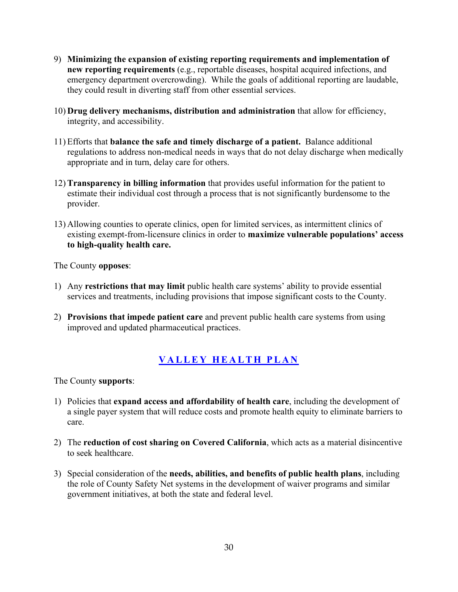- 9) **Minimizing the expansion of existing reporting requirements and implementation of new reporting requirements** (e.g., reportable diseases, hospital acquired infections, and emergency department overcrowding). While the goals of additional reporting are laudable, they could result in diverting staff from other essential services.
- 10) **Drug delivery mechanisms, distribution and administration** that allow for efficiency, integrity, and accessibility.
- 11) Efforts that **balance the safe and timely discharge of a patient.** Balance additional regulations to address non-medical needs in ways that do not delay discharge when medically appropriate and in turn, delay care for others.
- 12) **Transparency in billing information** that provides useful information for the patient to estimate their individual cost through a process that is not significantly burdensome to the provider.
- 13) Allowing counties to operate clinics, open for limited services, as intermittent clinics of existing exempt-from-licensure clinics in order to **maximize vulnerable populations' access to high-quality health care.**

The County **opposes**:

- 1) Any **restrictions that may limit** public health care systems' ability to provide essential services and treatments, including provisions that impose significant costs to the County.
- 2) **Provisions that impede patient care** and prevent public health care systems from using improved and updated pharmaceutical practices.

### **VALLEY HEALTH PLAN**

- 1) Policies that **expand access and affordability of health care**, including the development of a single payer system that will reduce costs and promote health equity to eliminate barriers to care.
- 2) The **reduction of cost sharing on Covered California**, which acts as a material disincentive to seek healthcare.
- 3) Special consideration of the **needs, abilities, and benefits of public health plans**, including the role of County Safety Net systems in the development of waiver programs and similar government initiatives, at both the state and federal level.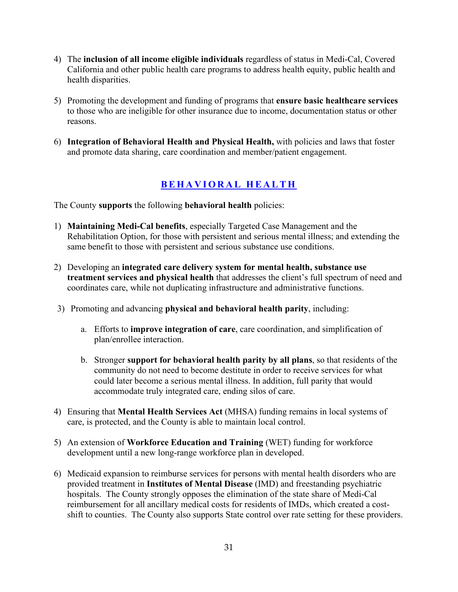- 4) The **inclusion of all income eligible individuals** regardless of status in Medi-Cal, Covered California and other public health care programs to address health equity, public health and health disparities.
- 5) Promoting the development and funding of programs that **ensure basic healthcare services** to those who are ineligible for other insurance due to income, documentation status or other reasons.
- 6) **Integration of Behavioral Health and Physical Health,** with policies and laws that foster and promote data sharing, care coordination and member/patient engagement.

#### **BEHAVIORAL HEALTH**

The County **supports** the following **behavioral health** policies:

- 1) **Maintaining Medi-Cal benefits**, especially Targeted Case Management and the Rehabilitation Option, for those with persistent and serious mental illness; and extending the same benefit to those with persistent and serious substance use conditions.
- 2) Developing an **integrated care delivery system for mental health, substance use treatment services and physical health** that addresses the client's full spectrum of need and coordinates care, while not duplicating infrastructure and administrative functions.
- 3) Promoting and advancing **physical and behavioral health parity**, including:
	- a. Efforts to **improve integration of care**, care coordination, and simplification of plan/enrollee interaction.
	- b. Stronger **support for behavioral health parity by all plans**, so that residents of the community do not need to become destitute in order to receive services for what could later become a serious mental illness. In addition, full parity that would accommodate truly integrated care, ending silos of care.
- 4) Ensuring that **Mental Health Services Act** (MHSA) funding remains in local systems of care, is protected, and the County is able to maintain local control.
- 5) An extension of **Workforce Education and Training** (WET) funding for workforce development until a new long-range workforce plan in developed.
- 6) Medicaid expansion to reimburse services for persons with mental health disorders who are provided treatment in **Institutes of Mental Disease** (IMD) and freestanding psychiatric hospitals. The County strongly opposes the elimination of the state share of Medi-Cal reimbursement for all ancillary medical costs for residents of IMDs, which created a costshift to counties. The County also supports State control over rate setting for these providers.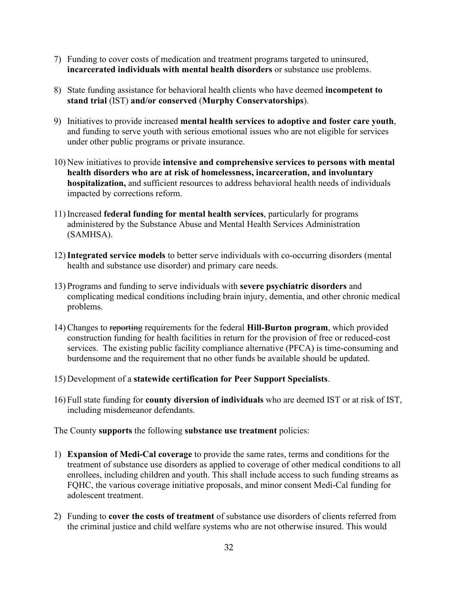- 7) Funding to cover costs of medication and treatment programs targeted to uninsured, **incarcerated individuals with mental health disorders** or substance use problems.
- 8) State funding assistance for behavioral health clients who have deemed **incompetent to stand trial** (IST) **and/or conserved** (**Murphy Conservatorships**).
- 9) Initiatives to provide increased **mental health services to adoptive and foster care youth**, and funding to serve youth with serious emotional issues who are not eligible for services under other public programs or private insurance.
- 10) New initiatives to provide **intensive and comprehensive services to persons with mental health disorders who are at risk of homelessness, incarceration, and involuntary hospitalization,** and sufficient resources to address behavioral health needs of individuals impacted by corrections reform.
- 11) Increased **federal funding for mental health services**, particularly for programs administered by the Substance Abuse and Mental Health Services Administration (SAMHSA).
- 12)**Integrated service models** to better serve individuals with co-occurring disorders (mental health and substance use disorder) and primary care needs.
- 13) Programs and funding to serve individuals with **severe psychiatric disorders** and complicating medical conditions including brain injury, dementia, and other chronic medical problems.
- 14) Changes to reporting requirements for the federal **Hill-Burton program**, which provided construction funding for health facilities in return for the provision of free or reduced-cost services. The existing public facility compliance alternative (PFCA) is time-consuming and burdensome and the requirement that no other funds be available should be updated.
- 15) Development of a **statewide certification for Peer Support Specialists**.
- 16) Full state funding for **county diversion of individuals** who are deemed IST or at risk of IST, including misdemeanor defendants.

The County **supports** the following **substance use treatment** policies:

- 1) **Expansion of Medi-Cal coverage** to provide the same rates, terms and conditions for the treatment of substance use disorders as applied to coverage of other medical conditions to all enrollees, including children and youth. This shall include access to such funding streams as FQHC, the various coverage initiative proposals, and minor consent Medi-Cal funding for adolescent treatment.
- 2) Funding to **cover the costs of treatment** of substance use disorders of clients referred from the criminal justice and child welfare systems who are not otherwise insured. This would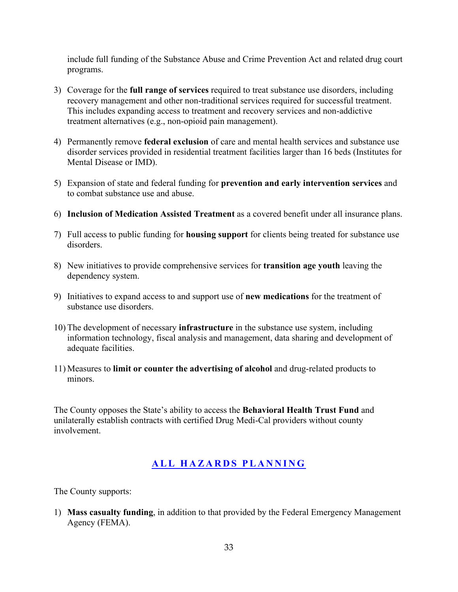include full funding of the Substance Abuse and Crime Prevention Act and related drug court programs.

- 3) Coverage for the **full range of services** required to treat substance use disorders, including recovery management and other non-traditional services required for successful treatment. This includes expanding access to treatment and recovery services and non-addictive treatment alternatives (e.g., non-opioid pain management).
- 4) Permanently remove **federal exclusion** of care and mental health services and substance use disorder services provided in residential treatment facilities larger than 16 beds (Institutes for Mental Disease or IMD).
- 5) Expansion of state and federal funding for **prevention and early intervention services** and to combat substance use and abuse.
- 6) **Inclusion of Medication Assisted Treatment** as a covered benefit under all insurance plans.
- 7) Full access to public funding for **housing support** for clients being treated for substance use disorders.
- 8) New initiatives to provide comprehensive services for **transition age youth** leaving the dependency system.
- 9) Initiatives to expand access to and support use of **new medications** for the treatment of substance use disorders.
- 10) The development of necessary **infrastructure** in the substance use system, including information technology, fiscal analysis and management, data sharing and development of adequate facilities.
- 11) Measures to **limit or counter the advertising of alcohol** and drug-related products to minors.

The County opposes the State's ability to access the **Behavioral Health Trust Fund** and unilaterally establish contracts with certified Drug Medi-Cal providers without county involvement.

#### **ALL HAZARDS PLANNING**

The County supports:

1) **Mass casualty funding**, in addition to that provided by the Federal Emergency Management Agency (FEMA).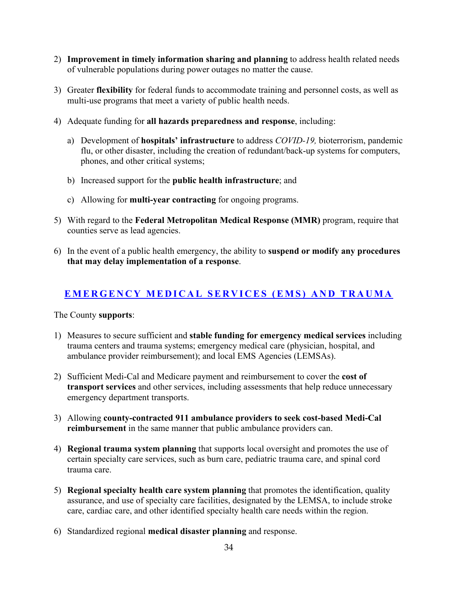- 2) **Improvement in timely information sharing and planning** to address health related needs of vulnerable populations during power outages no matter the cause.
- 3) Greater **flexibility** for federal funds to accommodate training and personnel costs, as well as multi-use programs that meet a variety of public health needs.
- 4) Adequate funding for **all hazards preparedness and response**, including:
	- a) Development of **hospitals' infrastructure** to address *COVID-19,* bioterrorism, pandemic flu, or other disaster, including the creation of redundant/back-up systems for computers, phones, and other critical systems;
	- b) Increased support for the **public health infrastructure**; and
	- c) Allowing for **multi-year contracting** for ongoing programs.
- 5) With regard to the **Federal Metropolitan Medical Response (MMR)** program, require that counties serve as lead agencies.
- 6) In the event of a public health emergency, the ability to **suspend or modify any procedures that may delay implementation of a response**.

#### **EMERGENCY MEDICAL SERVICES (EMS) AND TRAUMA**

- 1) Measures to secure sufficient and **stable funding for emergency medical services** including trauma centers and trauma systems; emergency medical care (physician, hospital, and ambulance provider reimbursement); and local EMS Agencies (LEMSAs).
- 2) Sufficient Medi-Cal and Medicare payment and reimbursement to cover the **cost of transport services** and other services, including assessments that help reduce unnecessary emergency department transports.
- 3) Allowing **county-contracted 911 ambulance providers to seek cost-based Medi-Cal reimbursement** in the same manner that public ambulance providers can.
- 4) **Regional trauma system planning** that supports local oversight and promotes the use of certain specialty care services, such as burn care, pediatric trauma care, and spinal cord trauma care.
- 5) **Regional specialty health care system planning** that promotes the identification, quality assurance, and use of specialty care facilities, designated by the LEMSA, to include stroke care, cardiac care, and other identified specialty health care needs within the region.
- 6) Standardized regional **medical disaster planning** and response.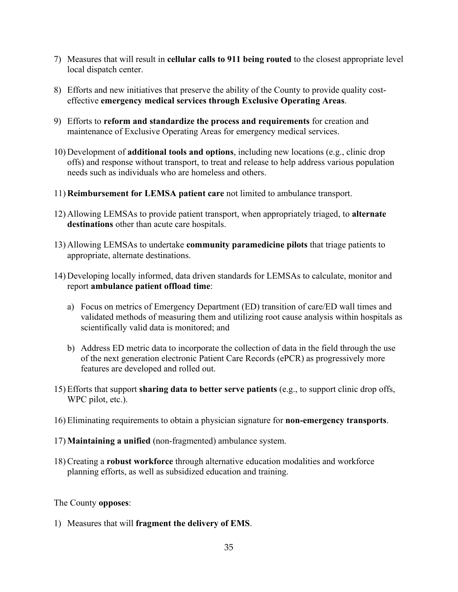- 7) Measures that will result in **cellular calls to 911 being routed** to the closest appropriate level local dispatch center.
- 8) Efforts and new initiatives that preserve the ability of the County to provide quality costeffective **emergency medical services through Exclusive Operating Areas**.
- 9) Efforts to **reform and standardize the process and requirements** for creation and maintenance of Exclusive Operating Areas for emergency medical services.
- 10) Development of **additional tools and options**, including new locations (e.g., clinic drop offs) and response without transport, to treat and release to help address various population needs such as individuals who are homeless and others.
- 11) **Reimbursement for LEMSA patient care** not limited to ambulance transport.
- 12) Allowing LEMSAs to provide patient transport, when appropriately triaged, to **alternate destinations** other than acute care hospitals.
- 13) Allowing LEMSAs to undertake **community paramedicine pilots** that triage patients to appropriate, alternate destinations.
- 14) Developing locally informed, data driven standards for LEMSAs to calculate, monitor and report **ambulance patient offload time**:
	- a) Focus on metrics of Emergency Department (ED) transition of care/ED wall times and validated methods of measuring them and utilizing root cause analysis within hospitals as scientifically valid data is monitored; and
	- b) Address ED metric data to incorporate the collection of data in the field through the use of the next generation electronic Patient Care Records (ePCR) as progressively more features are developed and rolled out.
- 15) Efforts that support **sharing data to better serve patients** (e.g., to support clinic drop offs, WPC pilot, etc.).
- 16) Eliminating requirements to obtain a physician signature for **non-emergency transports**.
- 17) **Maintaining a unified** (non-fragmented) ambulance system.
- 18) Creating a **robust workforce** through alternative education modalities and workforce planning efforts, as well as subsidized education and training.

#### The County **opposes**:

1) Measures that will **fragment the delivery of EMS**.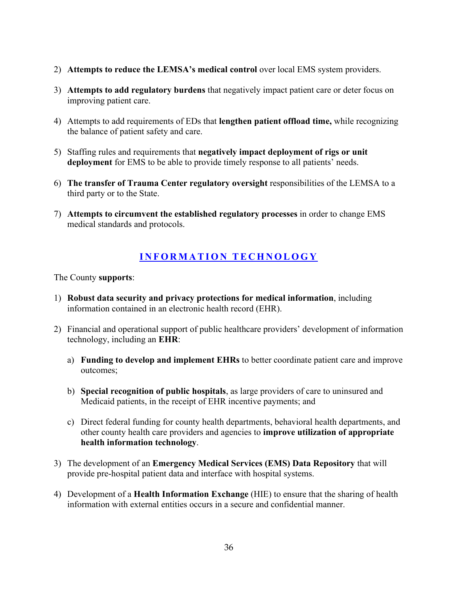- 2) **Attempts to reduce the LEMSA's medical control** over local EMS system providers.
- 3) **Attempts to add regulatory burdens** that negatively impact patient care or deter focus on improving patient care.
- 4) Attempts to add requirements of EDs that **lengthen patient offload time,** while recognizing the balance of patient safety and care.
- 5) Staffing rules and requirements that **negatively impact deployment of rigs or unit deployment** for EMS to be able to provide timely response to all patients' needs.
- 6) **The transfer of Trauma Center regulatory oversight** responsibilities of the LEMSA to a third party or to the State.
- 7) **Attempts to circumvent the established regulatory processes** in order to change EMS medical standards and protocols.

#### **INFORMATION TECHNOLOGY**

- 1) **Robust data security and privacy protections for medical information**, including information contained in an electronic health record (EHR).
- 2) Financial and operational support of public healthcare providers' development of information technology, including an **EHR**:
	- a) **Funding to develop and implement EHRs** to better coordinate patient care and improve outcomes;
	- b) **Special recognition of public hospitals**, as large providers of care to uninsured and Medicaid patients, in the receipt of EHR incentive payments; and
	- c) Direct federal funding for county health departments, behavioral health departments, and other county health care providers and agencies to **improve utilization of appropriate health information technology**.
- 3) The development of an **Emergency Medical Services (EMS) Data Repository** that will provide pre-hospital patient data and interface with hospital systems.
- 4) Development of a **Health Information Exchange** (HIE) to ensure that the sharing of health information with external entities occurs in a secure and confidential manner.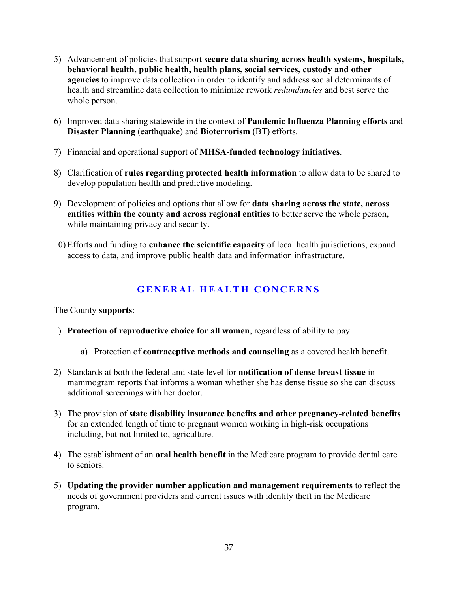- 5) Advancement of policies that support **secure data sharing across health systems, hospitals, behavioral health, public health, health plans, social services, custody and other agencies** to improve data collection in order to identify and address social determinants of health and streamline data collection to minimize rework *redundancies* and best serve the whole person.
- 6) Improved data sharing statewide in the context of **Pandemic Influenza Planning efforts** and **Disaster Planning** (earthquake) and **Bioterrorism** (BT) efforts.
- 7) Financial and operational support of **MHSA-funded technology initiatives**.
- 8) Clarification of **rules regarding protected health information** to allow data to be shared to develop population health and predictive modeling.
- 9) Development of policies and options that allow for **data sharing across the state, across entities within the county and across regional entities** to better serve the whole person, while maintaining privacy and security.
- 10) Efforts and funding to **enhance the scientific capacity** of local health jurisdictions, expand access to data, and improve public health data and information infrastructure.

# **GENERAL HEALTH CONCERNS**

- 1) **Protection of reproductive choice for all women**, regardless of ability to pay.
	- a) Protection of **contraceptive methods and counseling** as a covered health benefit.
- 2) Standards at both the federal and state level for **notification of dense breast tissue** in mammogram reports that informs a woman whether she has dense tissue so she can discuss additional screenings with her doctor.
- 3) The provision of **state disability insurance benefits and other pregnancy-related benefits** for an extended length of time to pregnant women working in high-risk occupations including, but not limited to, agriculture.
- 4) The establishment of an **oral health benefit** in the Medicare program to provide dental care to seniors.
- 5) **Updating the provider number application and management requirements** to reflect the needs of government providers and current issues with identity theft in the Medicare program.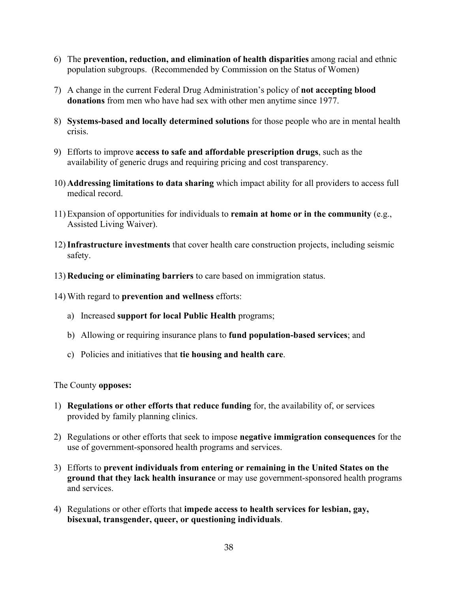- 6) The **prevention, reduction, and elimination of health disparities** among racial and ethnic population subgroups. (Recommended by Commission on the Status of Women)
- 7) A change in the current Federal Drug Administration's policy of **not accepting blood donations** from men who have had sex with other men anytime since 1977.
- 8) **Systems-based and locally determined solutions** for those people who are in mental health crisis.
- 9) Efforts to improve **access to safe and affordable prescription drugs**, such as the availability of generic drugs and requiring pricing and cost transparency.
- 10) **Addressing limitations to data sharing** which impact ability for all providers to access full medical record.
- 11) Expansion of opportunities for individuals to **remain at home or in the community** (e.g., Assisted Living Waiver).
- 12)**Infrastructure investments** that cover health care construction projects, including seismic safety.
- 13) **Reducing or eliminating barriers** to care based on immigration status.
- 14) With regard to **prevention and wellness** efforts:
	- a) Increased **support for local Public Health** programs;
	- b) Allowing or requiring insurance plans to **fund population-based services**; and
	- c) Policies and initiatives that **tie housing and health care**.

- 1) **Regulations or other efforts that reduce funding** for, the availability of, or services provided by family planning clinics.
- 2) Regulations or other efforts that seek to impose **negative immigration consequences** for the use of government-sponsored health programs and services.
- 3) Efforts to **prevent individuals from entering or remaining in the United States on the ground that they lack health insurance** or may use government-sponsored health programs and services.
- 4) Regulations or other efforts that **impede access to health services for lesbian, gay, bisexual, transgender, queer, or questioning individuals**.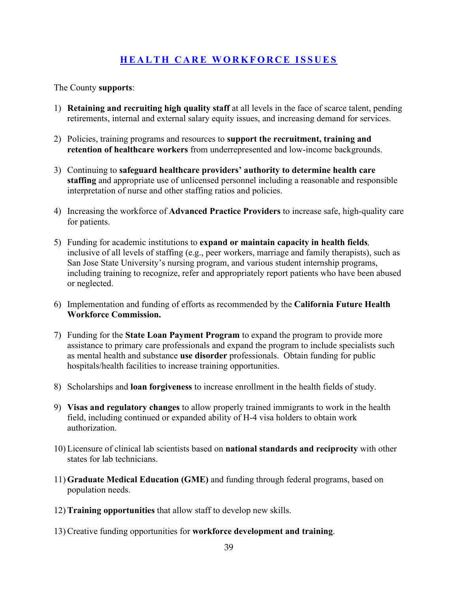### **HEALTH CARE WORKFORCE ISSUES**

- 1) **Retaining and recruiting high quality staff** at all levels in the face of scarce talent, pending retirements, internal and external salary equity issues, and increasing demand for services.
- 2) Policies, training programs and resources to **support the recruitment, training and retention of healthcare workers** from underrepresented and low-income backgrounds.
- 3) Continuing to **safeguard healthcare providers' authority to determine health care staffing** and appropriate use of unlicensed personnel including a reasonable and responsible interpretation of nurse and other staffing ratios and policies.
- 4) Increasing the workforce of **Advanced Practice Providers** to increase safe, high-quality care for patients.
- 5) Funding for academic institutions to **expand or maintain capacity in health fields***,* inclusive of all levels of staffing (e.g., peer workers, marriage and family therapists), such as San Jose State University's nursing program, and various student internship programs, including training to recognize, refer and appropriately report patients who have been abused or neglected.
- 6) Implementation and funding of efforts as recommended by the **California Future Health Workforce Commission.**
- 7) Funding for the **State Loan Payment Program** to expand the program to provide more assistance to primary care professionals and expand the program to include specialists such as mental health and substance **use disorder** professionals. Obtain funding for public hospitals/health facilities to increase training opportunities.
- 8) Scholarships and **loan forgiveness** to increase enrollment in the health fields of study.
- 9) **Visas and regulatory changes** to allow properly trained immigrants to work in the health field, including continued or expanded ability of H-4 visa holders to obtain work authorization.
- 10) Licensure of clinical lab scientists based on **national standards and reciprocity** with other states for lab technicians.
- 11) **Graduate Medical Education (GME)** and funding through federal programs, based on population needs.
- 12) **Training opportunities** that allow staff to develop new skills.
- 13) Creative funding opportunities for **workforce development and training**.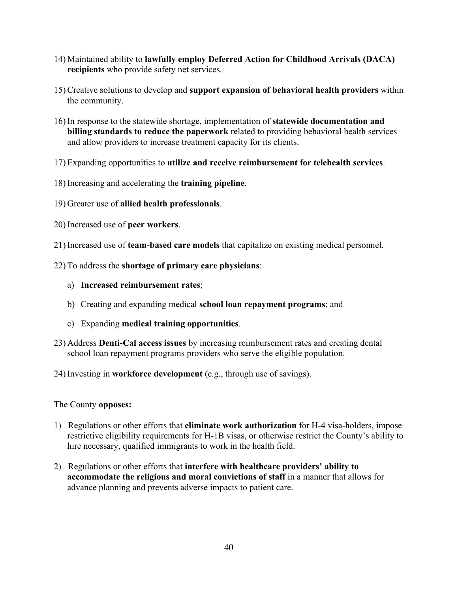- 14) Maintained ability to **lawfully employ Deferred Action for Childhood Arrivals (DACA) recipients** who provide safety net services*.*
- 15) Creative solutions to develop and **support expansion of behavioral health providers** within the community.
- 16) In response to the statewide shortage, implementation of **statewide documentation and billing standards to reduce the paperwork** related to providing behavioral health services and allow providers to increase treatment capacity for its clients.
- 17) Expanding opportunities to **utilize and receive reimbursement for telehealth services**.
- 18) Increasing and accelerating the **training pipeline**.
- 19) Greater use of **allied health professionals**.
- 20) Increased use of **peer workers**.
- 21) Increased use of **team-based care models** that capitalize on existing medical personnel.
- 22) To address the **shortage of primary care physicians**:
	- a) **Increased reimbursement rates**;
	- b) Creating and expanding medical **school loan repayment programs**; and
	- c) Expanding **medical training opportunities**.
- 23) Address **Denti-Cal access issues** by increasing reimbursement rates and creating dental school loan repayment programs providers who serve the eligible population.
- 24) Investing in **workforce development** (e.g., through use of savings).

- 1) Regulations or other efforts that **eliminate work authorization** for H-4 visa-holders, impose restrictive eligibility requirements for H-1B visas, or otherwise restrict the County's ability to hire necessary, qualified immigrants to work in the health field.
- 2) Regulations or other efforts that **interfere with healthcare providers' ability to accommodate the religious and moral convictions of staff** in a manner that allows for advance planning and prevents adverse impacts to patient care.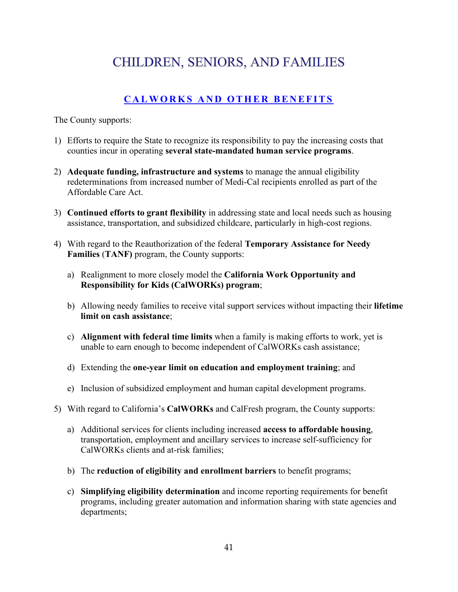# **CHILDREN, SENIORS, AND FAMILIES**

# **CALWORKS AND OTHER BENEFITS**

- 1) Efforts to require the State to recognize its responsibility to pay the increasing costs that counties incur in operating **several state-mandated human service programs**.
- 2) **Adequate funding, infrastructure and systems** to manage the annual eligibility redeterminations from increased number of Medi-Cal recipients enrolled as part of the Affordable Care Act.
- 3) **Continued efforts to grant flexibility** in addressing state and local needs such as housing assistance, transportation, and subsidized childcare, particularly in high-cost regions.
- 4) With regard to the Reauthorization of the federal **Temporary Assistance for Needy Families** (**TANF)** program, the County supports:
	- a) Realignment to more closely model the **California Work Opportunity and Responsibility for Kids (CalWORKs) program**;
	- b) Allowing needy families to receive vital support services without impacting their **lifetime limit on cash assistance**;
	- c) **Alignment with federal time limits** when a family is making efforts to work, yet is unable to earn enough to become independent of CalWORKs cash assistance;
	- d) Extending the **one-year limit on education and employment training**; and
	- e) Inclusion of subsidized employment and human capital development programs.
- 5) With regard to California's **CalWORKs** and CalFresh program, the County supports:
	- a) Additional services for clients including increased **access to affordable housing**, transportation, employment and ancillary services to increase self-sufficiency for CalWORKs clients and at-risk families;
	- b) The **reduction of eligibility and enrollment barriers** to benefit programs;
	- c) **Simplifying eligibility determination** and income reporting requirements for benefit programs, including greater automation and information sharing with state agencies and departments;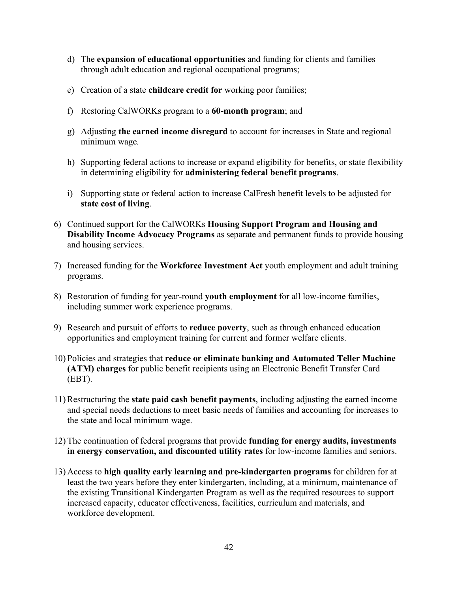- d) The **expansion of educational opportunities** and funding for clients and families through adult education and regional occupational programs;
- e) Creation of a state **childcare credit for** working poor families;
- f) Restoring CalWORKs program to a **60-month program**; and
- g) Adjusting **the earned income disregard** to account for increases in State and regional minimum wage*.*
- h) Supporting federal actions to increase or expand eligibility for benefits, or state flexibility in determining eligibility for **administering federal benefit programs**.
- i) Supporting state or federal action to increase CalFresh benefit levels to be adjusted for **state cost of living**.
- 6) Continued support for the CalWORKs **Housing Support Program and Housing and Disability Income Advocacy Programs** as separate and permanent funds to provide housing and housing services.
- 7) Increased funding for the **Workforce Investment Act** youth employment and adult training programs.
- 8) Restoration of funding for year-round **youth employment** for all low-income families, including summer work experience programs.
- 9) Research and pursuit of efforts to **reduce poverty**, such as through enhanced education opportunities and employment training for current and former welfare clients.
- 10) Policies and strategies that **reduce or eliminate banking and Automated Teller Machine (ATM) charges** for public benefit recipients using an Electronic Benefit Transfer Card (EBT).
- 11) Restructuring the **state paid cash benefit payments**, including adjusting the earned income and special needs deductions to meet basic needs of families and accounting for increases to the state and local minimum wage.
- 12) The continuation of federal programs that provide **funding for energy audits, investments in energy conservation, and discounted utility rates** for low-income families and seniors.
- 13) Access to **high quality early learning and pre-kindergarten programs** for children for at least the two years before they enter kindergarten, including, at a minimum, maintenance of the existing Transitional Kindergarten Program as well as the required resources to support increased capacity, educator effectiveness, facilities, curriculum and materials, and workforce development.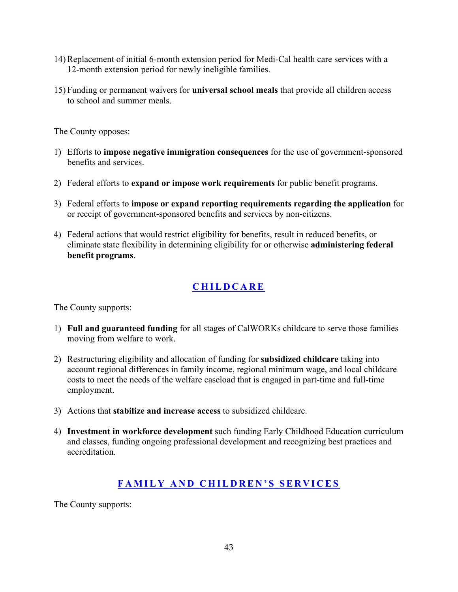- 14) Replacement of initial 6-month extension period for Medi-Cal health care services with a 12-month extension period for newly ineligible families.
- 15) Funding or permanent waivers for **universal school meals** that provide all children access to school and summer meals.

- 1) Efforts to **impose negative immigration consequences** for the use of government-sponsored benefits and services.
- 2) Federal efforts to **expand or impose work requirements** for public benefit programs.
- 3) Federal efforts to **impose or expand reporting requirements regarding the application** for or receipt of government-sponsored benefits and services by non-citizens.
- 4) Federal actions that would restrict eligibility for benefits, result in reduced benefits, or eliminate state flexibility in determining eligibility for or otherwise **administering federal benefit programs**.

# **CHILDCARE**

The County supports:

- 1) **Full and guaranteed funding** for all stages of CalWORKs childcare to serve those families moving from welfare to work.
- 2) Restructuring eligibility and allocation of funding for **subsidized childcare** taking into account regional differences in family income, regional minimum wage, and local childcare costs to meet the needs of the welfare caseload that is engaged in part-time and full-time employment.
- 3) Actions that **stabilize and increase access** to subsidized childcare.
- 4) **Investment in workforce development** such funding Early Childhood Education curriculum and classes, funding ongoing professional development and recognizing best practices and accreditation.

## **FAMILY AND CHILDREN'S SERVICES**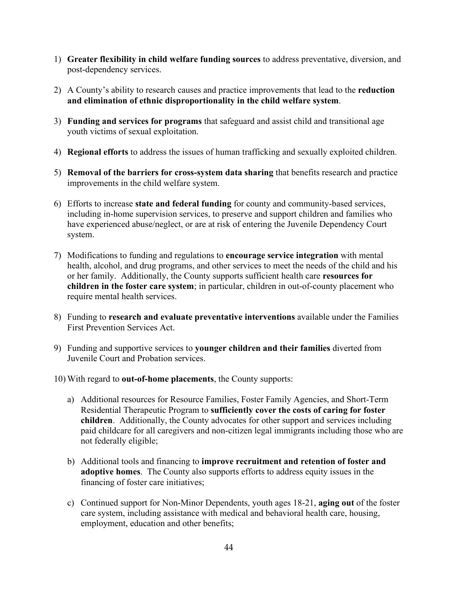- 1) **Greater flexibility in child welfare funding sources** to address preventative, diversion, and post-dependency services.
- 2) A County's ability to research causes and practice improvements that lead to the **reduction and elimination of ethnic disproportionality in the child welfare system**.
- 3) **Funding and services for programs** that safeguard and assist child and transitional age youth victims of sexual exploitation.
- 4) **Regional efforts** to address the issues of human trafficking and sexually exploited children.
- 5) **Removal of the barriers for cross-system data sharing** that benefits research and practice improvements in the child welfare system.
- 6) Efforts to increase **state and federal funding** for county and community-based services, including in-home supervision services, to preserve and support children and families who have experienced abuse/neglect, or are at risk of entering the Juvenile Dependency Court system.
- 7) Modifications to funding and regulations to **encourage service integration** with mental health, alcohol, and drug programs, and other services to meet the needs of the child and his or her family. Additionally, the County supports sufficient health care **resources for children in the foster care system**; in particular, children in out-of-county placement who require mental health services.
- 8) Funding to **research and evaluate preventative interventions** available under the Families First Prevention Services Act.
- 9) Funding and supportive services to **younger children and their families** diverted from Juvenile Court and Probation services.
- 10) With regard to **out-of-home placements**, the County supports:
	- a) Additional resources for Resource Families, Foster Family Agencies, and Short-Term Residential Therapeutic Program to **sufficiently cover the costs of caring for foster children**. Additionally, the County advocates for other support and services including paid childcare for all caregivers and non-citizen legal immigrants including those who are not federally eligible;
	- b) Additional tools and financing to **improve recruitment and retention of foster and adoptive homes**. The County also supports efforts to address equity issues in the financing of foster care initiatives;
	- c) Continued support for Non-Minor Dependents, youth ages 18-21, **aging out** of the foster care system, including assistance with medical and behavioral health care, housing, employment, education and other benefits;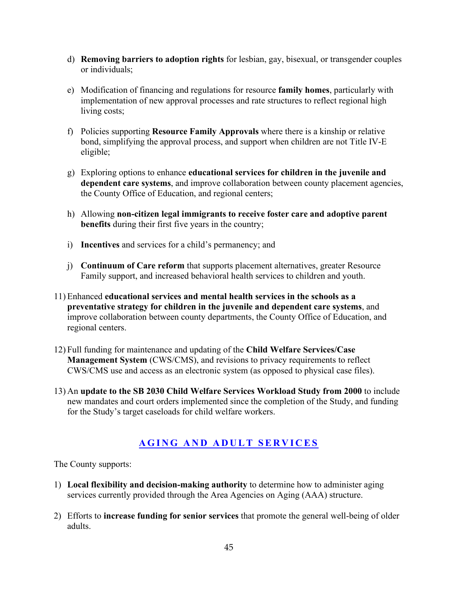- d) **Removing barriers to adoption rights** for lesbian, gay, bisexual, or transgender couples or individuals;
- e) Modification of financing and regulations for resource **family homes**, particularly with implementation of new approval processes and rate structures to reflect regional high living costs;
- f) Policies supporting **Resource Family Approvals** where there is a kinship or relative bond, simplifying the approval process, and support when children are not Title IV-E eligible;
- g) Exploring options to enhance **educational services for children in the juvenile and dependent care systems**, and improve collaboration between county placement agencies, the County Office of Education, and regional centers;
- h) Allowing **non-citizen legal immigrants to receive foster care and adoptive parent benefits** during their first five years in the country;
- i) **Incentives** and services for a child's permanency; and
- j) **Continuum of Care reform** that supports placement alternatives, greater Resource Family support, and increased behavioral health services to children and youth.
- 11) Enhanced **educational services and mental health services in the schools as a preventative strategy for children in the juvenile and dependent care systems**, and improve collaboration between county departments, the County Office of Education, and regional centers.
- 12) Full funding for maintenance and updating of the **Child Welfare Services/Case Management System** (CWS/CMS), and revisions to privacy requirements to reflect CWS/CMS use and access as an electronic system (as opposed to physical case files).
- 13) An **update to the SB 2030 Child Welfare Services Workload Study from 2000** to include new mandates and court orders implemented since the completion of the Study, and funding for the Study's target caseloads for child welfare workers.

## **AGING AND ADULT SERVICES**

- 1) **Local flexibility and decision-making authority** to determine how to administer aging services currently provided through the Area Agencies on Aging (AAA) structure.
- 2) Efforts to **increase funding for senior services** that promote the general well-being of older adults.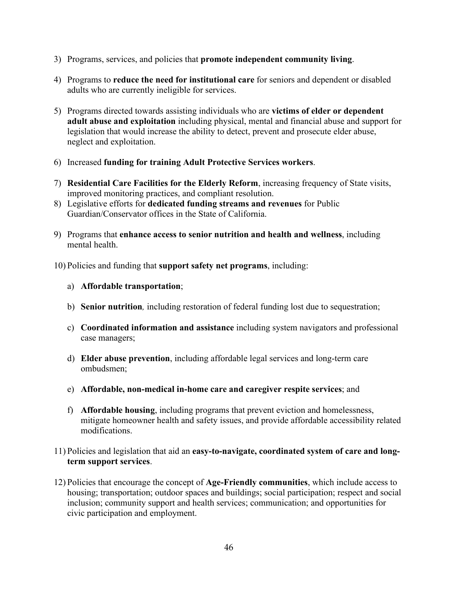- 3) Programs, services, and policies that **promote independent community living**.
- 4) Programs to **reduce the need for institutional care** for seniors and dependent or disabled adults who are currently ineligible for services.
- 5) Programs directed towards assisting individuals who are **victims of elder or dependent adult abuse and exploitation** including physical, mental and financial abuse and support for legislation that would increase the ability to detect, prevent and prosecute elder abuse, neglect and exploitation.
- 6) Increased **funding for training Adult Protective Services workers**.
- 7) **Residential Care Facilities for the Elderly Reform**, increasing frequency of State visits, improved monitoring practices, and compliant resolution.
- 8) Legislative efforts for **dedicated funding streams and revenues** for Public Guardian/Conservator offices in the State of California.
- 9) Programs that **enhance access to senior nutrition and health and wellness**, including mental health.

10) Policies and funding that **support safety net programs**, including:

- a) **Affordable transportation**;
- b) **Senior nutrition***,* including restoration of federal funding lost due to sequestration;
- c) **Coordinated information and assistance** including system navigators and professional case managers;
- d) **Elder abuse prevention**, including affordable legal services and long-term care ombudsmen;
- e) **Affordable, non-medical in-home care and caregiver respite services**; and
- f) **Affordable housing**, including programs that prevent eviction and homelessness, mitigate homeowner health and safety issues, and provide affordable accessibility related modifications.
- 11) Policies and legislation that aid an **easy-to-navigate, coordinated system of care and longterm support services**.
- 12) Policies that encourage the concept of **Age-Friendly communities**, which include access to housing; transportation; outdoor spaces and buildings; social participation; respect and social inclusion; community support and health services; communication; and opportunities for civic participation and employment.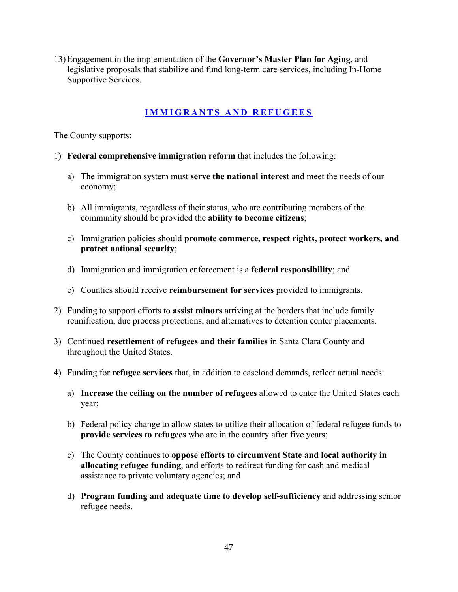13) Engagement in the implementation of the **Governor's Master Plan for Aging**, and legislative proposals that stabilize and fund long-term care services, including In-Home Supportive Services.

#### **IMMIGRANTS AND REFUGEES**

- 1) **Federal comprehensive immigration reform** that includes the following:
	- a) The immigration system must **serve the national interest** and meet the needs of our economy;
	- b) All immigrants, regardless of their status, who are contributing members of the community should be provided the **ability to become citizens**;
	- c) Immigration policies should **promote commerce, respect rights, protect workers, and protect national security**;
	- d) Immigration and immigration enforcement is a **federal responsibility**; and
	- e) Counties should receive **reimbursement for services** provided to immigrants.
- 2) Funding to support efforts to **assist minors** arriving at the borders that include family reunification, due process protections, and alternatives to detention center placements.
- 3) Continued **resettlement of refugees and their families** in Santa Clara County and throughout the United States.
- 4) Funding for **refugee services** that, in addition to caseload demands, reflect actual needs:
	- a) **Increase the ceiling on the number of refugees** allowed to enter the United States each year;
	- b) Federal policy change to allow states to utilize their allocation of federal refugee funds to **provide services to refugees** who are in the country after five years;
	- c) The County continues to **oppose efforts to circumvent State and local authority in allocating refugee funding**, and efforts to redirect funding for cash and medical assistance to private voluntary agencies; and
	- d) **Program funding and adequate time to develop self-sufficiency** and addressing senior refugee needs.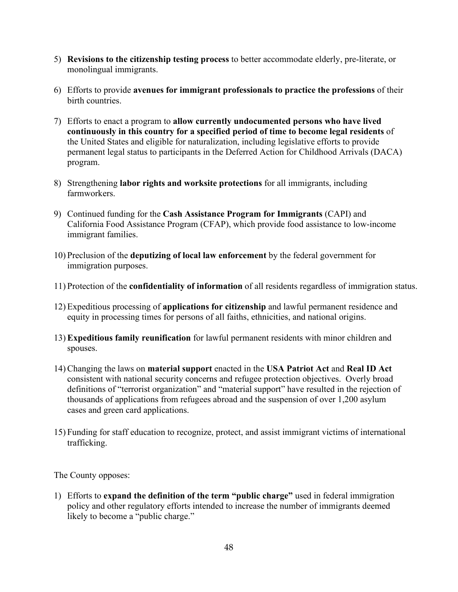- 5) **Revisions to the citizenship testing process** to better accommodate elderly, pre-literate, or monolingual immigrants.
- 6) Efforts to provide **avenues for immigrant professionals to practice the professions** of their birth countries.
- 7) Efforts to enact a program to **allow currently undocumented persons who have lived continuously in this country for a specified period of time to become legal residents** of the United States and eligible for naturalization, including legislative efforts to provide permanent legal status to participants in the Deferred Action for Childhood Arrivals (DACA) program.
- 8) Strengthening **labor rights and worksite protections** for all immigrants, including farmworkers.
- 9) Continued funding for the **Cash Assistance Program for Immigrants** (CAPI) and California Food Assistance Program (CFAP), which provide food assistance to low-income immigrant families.
- 10) Preclusion of the **deputizing of local law enforcement** by the federal government for immigration purposes.
- 11) Protection of the **confidentiality of information** of all residents regardless of immigration status.
- 12) Expeditious processing of **applications for citizenship** and lawful permanent residence and equity in processing times for persons of all faiths, ethnicities, and national origins.
- 13) **Expeditious family reunification** for lawful permanent residents with minor children and spouses.
- 14) Changing the laws on **material support** enacted in the **USA Patriot Act** and **Real ID Act**  consistent with national security concerns and refugee protection objectives. Overly broad definitions of "terrorist organization" and "material support" have resulted in the rejection of thousands of applications from refugees abroad and the suspension of over 1,200 asylum cases and green card applications.
- 15) Funding for staff education to recognize, protect, and assist immigrant victims of international trafficking.

1) Efforts to **expand the definition of the term "public charge"** used in federal immigration policy and other regulatory efforts intended to increase the number of immigrants deemed likely to become a "public charge."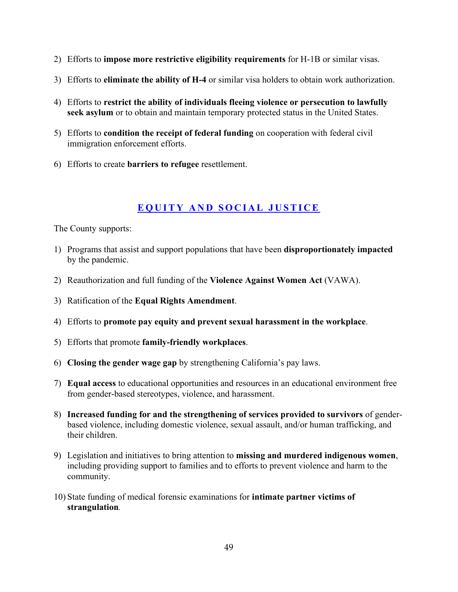- 2) Efforts to **impose more restrictive eligibility requirements** for H-1B or similar visas.
- 3) Efforts to **eliminate the ability of H-4** or similar visa holders to obtain work authorization.
- 4) Efforts to **restrict the ability of individuals fleeing violence or persecution to lawfully seek asylum** or to obtain and maintain temporary protected status in the United States.
- 5) Efforts to **condition the receipt of federal funding** on cooperation with federal civil immigration enforcement efforts.
- 6) Efforts to create **barriers to refugee** resettlement.

#### **EQUITY AND SOCIAL JUSTICE**

- 1) Programs that assist and support populations that have been **disproportionately impacted** by the pandemic.
- 2) Reauthorization and full funding of the **Violence Against Women Act** (VAWA).
- 3) Ratification of the **Equal Rights Amendment**.
- 4) Efforts to **promote pay equity and prevent sexual harassment in the workplace**.
- 5) Efforts that promote **family-friendly workplaces**.
- 6) **Closing the gender wage gap** by strengthening California's pay laws.
- 7) **Equal access** to educational opportunities and resources in an educational environment free from gender-based stereotypes, violence, and harassment.
- 8) **Increased funding for and the strengthening of services provided to survivors** of genderbased violence, including domestic violence, sexual assault, and/or human trafficking, and their children.
- 9) Legislation and initiatives to bring attention to **missing and murdered indigenous women**, including providing support to families and to efforts to prevent violence and harm to the community.
- 10) State funding of medical forensic examinations for **intimate partner victims of strangulation***.*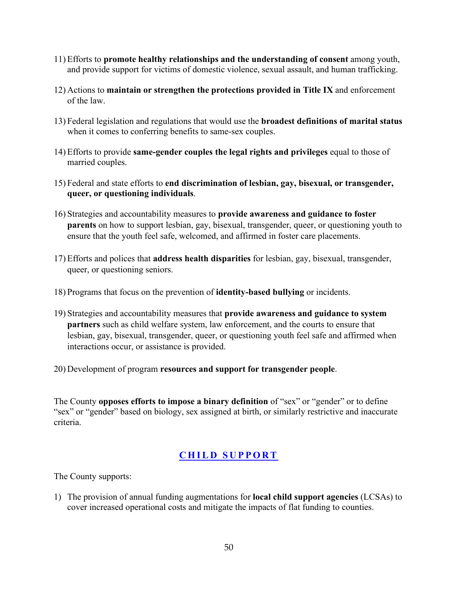- 11) Efforts to **promote healthy relationships and the understanding of consent** among youth, and provide support for victims of domestic violence, sexual assault, and human trafficking.
- 12) Actions to **maintain or strengthen the protections provided in Title IX** and enforcement of the law.
- 13) Federal legislation and regulations that would use the **broadest definitions of marital status** when it comes to conferring benefits to same-sex couples.
- 14) Efforts to provide **same-gender couples the legal rights and privileges** equal to those of married couples.
- 15) Federal and state efforts to **end discrimination of lesbian, gay, bisexual, or transgender, queer, or questioning individuals**.
- 16) Strategies and accountability measures to **provide awareness and guidance to foster parents** on how to support lesbian, gay, bisexual, transgender, queer, or questioning youth to ensure that the youth feel safe, welcomed, and affirmed in foster care placements.
- 17) Efforts and polices that **address health disparities** for lesbian, gay, bisexual, transgender, queer, or questioning seniors.
- 18) Programs that focus on the prevention of **identity-based bullying** or incidents.
- 19) Strategies and accountability measures that **provide awareness and guidance to system partners** such as child welfare system, law enforcement, and the courts to ensure that lesbian, gay, bisexual, transgender, queer, or questioning youth feel safe and affirmed when interactions occur, or assistance is provided.
- 20) Development of program **resources and support for transgender people**.

The County **opposes efforts to impose a binary definition** of "sex" or "gender" or to define "sex" or "gender" based on biology, sex assigned at birth, or similarly restrictive and inaccurate criteria.

## **CHILD SUPPORT**

The County supports:

1) The provision of annual funding augmentations for **local child support agencies** (LCSAs) to cover increased operational costs and mitigate the impacts of flat funding to counties.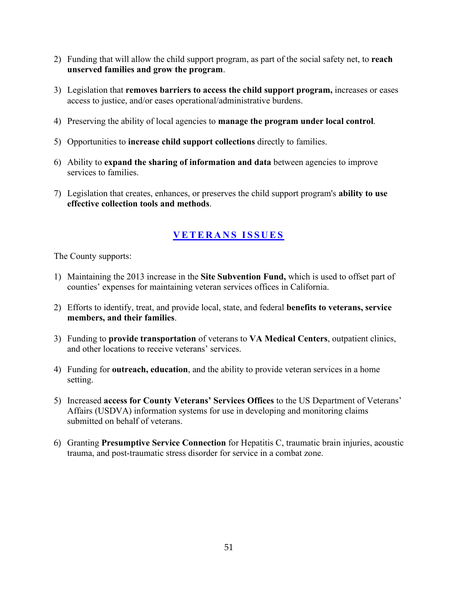- 2) Funding that will allow the child support program, as part of the social safety net, to **reach unserved families and grow the program**.
- 3) Legislation that **removes barriers to access the child support program,** increases or eases access to justice, and/or eases operational/administrative burdens.
- 4) Preserving the ability of local agencies to **manage the program under local control**.
- 5) Opportunities to **increase child support collections** directly to families.
- 6) Ability to **expand the sharing of information and data** between agencies to improve services to families.
- 7) Legislation that creates, enhances, or preserves the child support program's **ability to use effective collection tools and methods**.

## **VETERANS ISSUES**

- 1) Maintaining the 2013 increase in the **Site Subvention Fund,** which is used to offset part of counties' expenses for maintaining veteran services offices in California.
- 2) Efforts to identify, treat, and provide local, state, and federal **benefits to veterans, service members, and their families**.
- 3) Funding to **provide transportation** of veterans to **VA Medical Centers**, outpatient clinics, and other locations to receive veterans' services.
- 4) Funding for **outreach, education**, and the ability to provide veteran services in a home setting.
- 5) Increased **access for County Veterans' Services Offices** to the US Department of Veterans' Affairs (USDVA) information systems for use in developing and monitoring claims submitted on behalf of veterans.
- 6) Granting **Presumptive Service Connection** for Hepatitis C, traumatic brain injuries, acoustic trauma, and post-traumatic stress disorder for service in a combat zone.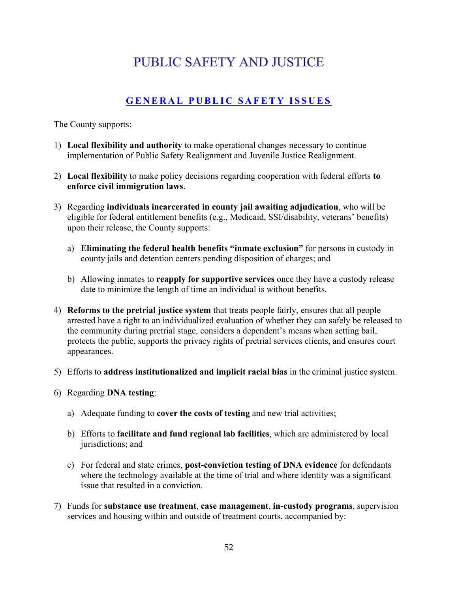# **PUBLIC SAFETY AND JUSTICE**

# **GENERAL PUBLIC SAFETY ISSUES**

- 1) **Local flexibility and authority** to make operational changes necessary to continue implementation of Public Safety Realignment and Juvenile Justice Realignment.
- 2) **Local flexibility** to make policy decisions regarding cooperation with federal efforts **to enforce civil immigration laws**.
- 3) Regarding **individuals incarcerated in county jail awaiting adjudication**, who will be eligible for federal entitlement benefits (e.g., Medicaid, SSI/disability, veterans' benefits) upon their release, the County supports:
	- a) **Eliminating the federal health benefits "inmate exclusion"** for persons in custody in county jails and detention centers pending disposition of charges; and
	- b) Allowing inmates to **reapply for supportive services** once they have a custody release date to minimize the length of time an individual is without benefits.
- 4) **Reforms to the pretrial justice system** that treats people fairly, ensures that all people arrested have a right to an individualized evaluation of whether they can safely be released to the community during pretrial stage, considers a dependent's means when setting bail, protects the public, supports the privacy rights of pretrial services clients, and ensures court appearances.
- 5) Efforts to **address institutionalized and implicit racial bias** in the criminal justice system.
- 6) Regarding **DNA testing**:
	- a) Adequate funding to **cover the costs of testing** and new trial activities;
	- b) Efforts to **facilitate and fund regional lab facilities**, which are administered by local jurisdictions; and
	- c) For federal and state crimes, **post-conviction testing of DNA evidence** for defendants where the technology available at the time of trial and where identity was a significant issue that resulted in a conviction.
- 7) Funds for **substance use treatment**, **case management**, **in-custody programs**, supervision services and housing within and outside of treatment courts, accompanied by: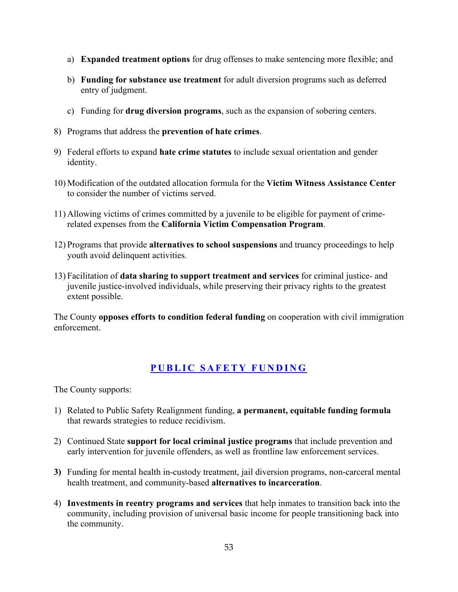- a) **Expanded treatment options** for drug offenses to make sentencing more flexible; and
- b) **Funding for substance use treatment** for adult diversion programs such as deferred entry of judgment.
- c) Funding for **drug diversion programs**, such as the expansion of sobering centers.
- 8) Programs that address the **prevention of hate crimes**.
- 9) Federal efforts to expand **hate crime statutes** to include sexual orientation and gender identity.
- 10) Modification of the outdated allocation formula for the **Victim Witness Assistance Center** to consider the number of victims served.
- 11) Allowing victims of crimes committed by a juvenile to be eligible for payment of crimerelated expenses from the **California Victim Compensation Program**.
- 12) Programs that provide **alternatives to school suspensions** and truancy proceedings to help youth avoid delinquent activities.
- 13) Facilitation of **data sharing to support treatment and services** for criminal justice- and juvenile justice-involved individuals, while preserving their privacy rights to the greatest extent possible.

The County **opposes efforts to condition federal funding** on cooperation with civil immigration enforcement.

#### **PUBLIC SAFETY FUNDING**

- 1) Related to Public Safety Realignment funding, **a permanent, equitable funding formula** that rewards strategies to reduce recidivism.
- 2) Continued State **support for local criminal justice programs** that include prevention and early intervention for juvenile offenders, as well as frontline law enforcement services.
- **3)** Funding for mental health in-custody treatment, jail diversion programs, non-carceral mental health treatment, and community-based **alternatives to incarceration**.
- 4) **Investments in reentry programs and services** that help inmates to transition back into the community, including provision of universal basic income for people transitioning back into the community.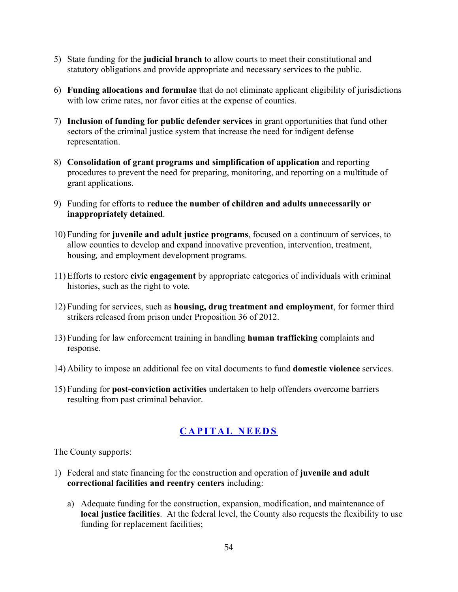- 5) State funding for the **judicial branch** to allow courts to meet their constitutional and statutory obligations and provide appropriate and necessary services to the public.
- 6) **Funding allocations and formulae** that do not eliminate applicant eligibility of jurisdictions with low crime rates, nor favor cities at the expense of counties.
- 7) **Inclusion of funding for public defender services** in grant opportunities that fund other sectors of the criminal justice system that increase the need for indigent defense representation.
- 8) **Consolidation of grant programs and simplification of application** and reporting procedures to prevent the need for preparing, monitoring, and reporting on a multitude of grant applications.
- 9) Funding for efforts to **reduce the number of children and adults unnecessarily or inappropriately detained**.
- 10) Funding for **juvenile and adult justice programs**, focused on a continuum of services, to allow counties to develop and expand innovative prevention, intervention, treatment, housing*,* and employment development programs.
- 11) Efforts to restore **civic engagement** by appropriate categories of individuals with criminal histories, such as the right to vote.
- 12) Funding for services, such as **housing, drug treatment and employment**, for former third strikers released from prison under Proposition 36 of 2012.
- 13) Funding for law enforcement training in handling **human trafficking** complaints and response.
- 14) Ability to impose an additional fee on vital documents to fund **domestic violence** services.
- 15) Funding for **post-conviction activities** undertaken to help offenders overcome barriers resulting from past criminal behavior.

## **CAPITAL NEEDS**

- 1) Federal and state financing for the construction and operation of **juvenile and adult correctional facilities and reentry centers** including:
	- a) Adequate funding for the construction, expansion, modification, and maintenance of **local justice facilities**. At the federal level, the County also requests the flexibility to use funding for replacement facilities;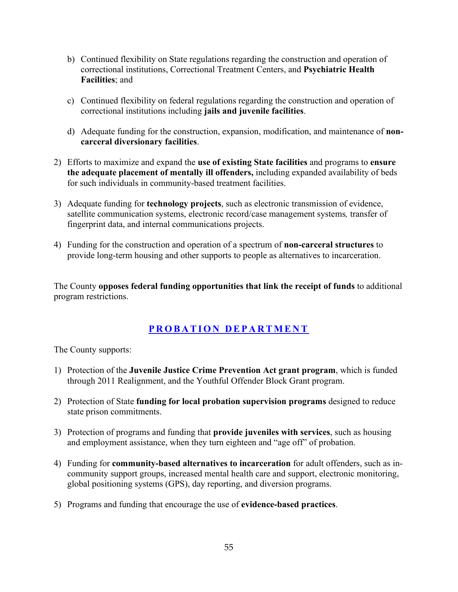- b) Continued flexibility on State regulations regarding the construction and operation of correctional institutions, Correctional Treatment Centers, and **Psychiatric Health Facilities**; and
- c) Continued flexibility on federal regulations regarding the construction and operation of correctional institutions including **jails and juvenile facilities**.
- d) Adequate funding for the construction, expansion, modification, and maintenance of **noncarceral diversionary facilities**.
- 2) Efforts to maximize and expand the **use of existing State facilities** and programs to **ensure the adequate placement of mentally ill offenders,** including expanded availability of beds for such individuals in community-based treatment facilities.
- 3) Adequate funding for **technology projects**, such as electronic transmission of evidence, satellite communication systems, electronic record/case management systems*,* transfer of fingerprint data, and internal communications projects.
- 4) Funding for the construction and operation of a spectrum of **non-carceral structures** to provide long-term housing and other supports to people as alternatives to incarceration.

The County **opposes federal funding opportunities that link the receipt of funds** to additional program restrictions.

#### **PROBATION DEPARTMENT**

- 1) Protection of the **Juvenile Justice Crime Prevention Act grant program**, which is funded through 2011 Realignment, and the Youthful Offender Block Grant program.
- 2) Protection of State **funding for local probation supervision programs** designed to reduce state prison commitments.
- 3) Protection of programs and funding that **provide juveniles with services**, such as housing and employment assistance, when they turn eighteen and "age off" of probation.
- 4) Funding for **community-based alternatives to incarceration** for adult offenders, such as incommunity support groups, increased mental health care and support, electronic monitoring, global positioning systems (GPS), day reporting, and diversion programs.
- 5) Programs and funding that encourage the use of **evidence-based practices**.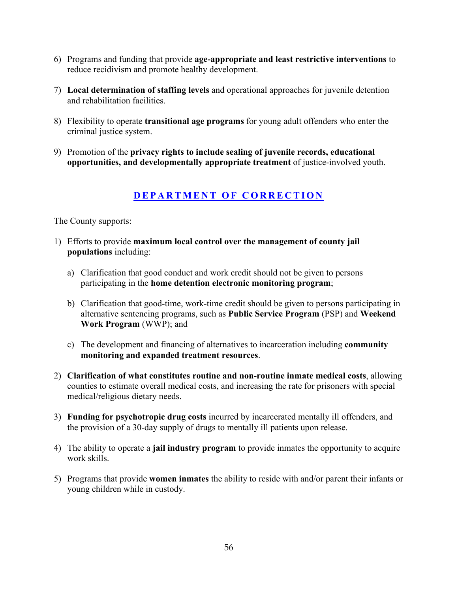- 6) Programs and funding that provide **age-appropriate and least restrictive interventions** to reduce recidivism and promote healthy development.
- 7) **Local determination of staffing levels** and operational approaches for juvenile detention and rehabilitation facilities.
- 8) Flexibility to operate **transitional age programs** for young adult offenders who enter the criminal justice system.
- 9) Promotion of the **privacy rights to include sealing of juvenile records, educational opportunities, and developmentally appropriate treatment** of justice-involved youth.

#### **DEPARTMENT OF CORRECTION**

- 1) Efforts to provide **maximum local control over the management of county jail populations** including:
	- a) Clarification that good conduct and work credit should not be given to persons participating in the **home detention electronic monitoring program**;
	- b) Clarification that good-time, work-time credit should be given to persons participating in alternative sentencing programs, such as **Public Service Program** (PSP) and **Weekend Work Program** (WWP); and
	- c) The development and financing of alternatives to incarceration including **community monitoring and expanded treatment resources**.
- 2) **Clarification of what constitutes routine and non-routine inmate medical costs**, allowing counties to estimate overall medical costs, and increasing the rate for prisoners with special medical/religious dietary needs.
- 3) **Funding for psychotropic drug costs** incurred by incarcerated mentally ill offenders, and the provision of a 30-day supply of drugs to mentally ill patients upon release.
- 4) The ability to operate a **jail industry program** to provide inmates the opportunity to acquire work skills.
- 5) Programs that provide **women inmates** the ability to reside with and/or parent their infants or young children while in custody.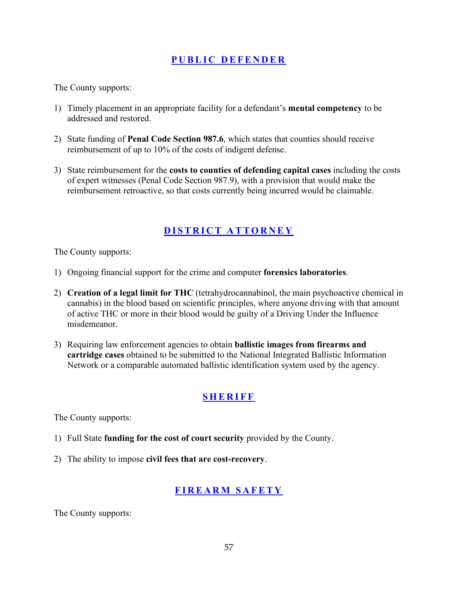#### **PUBLIC DEFENDER**

The County supports:

- 1) Timely placement in an appropriate facility for a defendant's **mental competency** to be addressed and restored.
- 2) State funding of **Penal Code Section 987.6**, which states that counties should receive reimbursement of up to 10% of the costs of indigent defense.
- 3) State reimbursement for the **costs to counties of defending capital cases** including the costs of expert witnesses (Penal Code Section 987.9), with a provision that would make the reimbursement retroactive, so that costs currently being incurred would be claimable.

## **DISTRICT ATTORNEY**

The County supports:

- 1) Ongoing financial support for the crime and computer **forensics laboratories**.
- 2) **Creation of a legal limit for THC** (tetrahydrocannabinol, the main psychoactive chemical in cannabis) in the blood based on scientific principles, where anyone driving with that amount of active THC or more in their blood would be guilty of a Driving Under the Influence misdemeanor.
- 3) Requiring law enforcement agencies to obtain **ballistic images from firearms and cartridge cases** obtained to be submitted to the National Integrated Ballistic Information Network or a comparable automated ballistic identification system used by the agency.

## **SHERIFF**

The County supports:

- 1) Full State **funding for the cost of court security** provided by the County.
- 2) The ability to impose **civil fees that are cost-recovery**.

## **FIREARM SAFETY**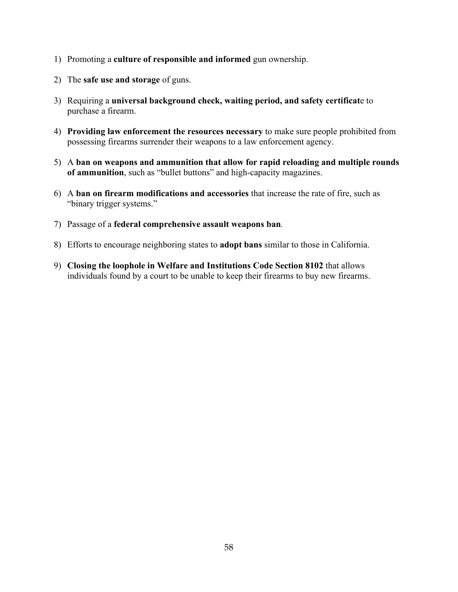- 1) Promoting a **culture of responsible and informed** gun ownership.
- 2) The **safe use and storage** of guns.
- 3) Requiring a **universal background check, waiting period, and safety certificat**e to purchase a firearm.
- 4) **Providing law enforcement the resources necessary** to make sure people prohibited from possessing firearms surrender their weapons to a law enforcement agency.
- 5) A **ban on weapons and ammunition that allow for rapid reloading and multiple rounds of ammunition**, such as "bullet buttons" and high-capacity magazines.
- 6) A **ban on firearm modifications and accessories** that increase the rate of fire, such as "binary trigger systems."
- 7) Passage of a **federal comprehensive assault weapons ban***.*
- 8) Efforts to encourage neighboring states to **adopt bans** similar to those in California.
- 9) **Closing the loophole in Welfare and Institutions Code Section 8102** that allows individuals found by a court to be unable to keep their firearms to buy new firearms.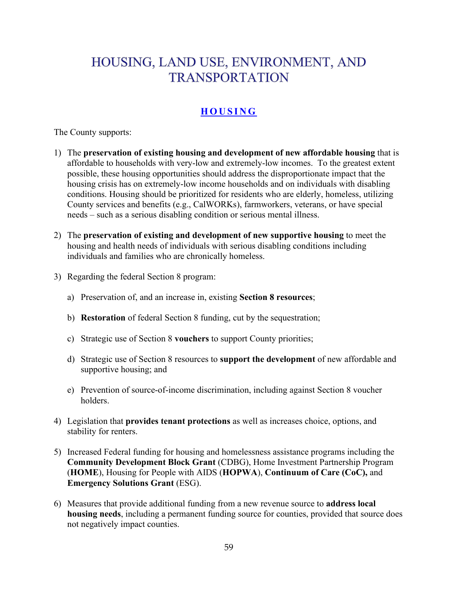# HOUSING, LAND USE, ENVIRONMENT, AND **TRANSPORTATION**

# **HOUSING**

- 1) The **preservation of existing housing and development of new affordable housing** that is affordable to households with very-low and extremely-low incomes. To the greatest extent possible, these housing opportunities should address the disproportionate impact that the housing crisis has on extremely-low income households and on individuals with disabling conditions. Housing should be prioritized for residents who are elderly, homeless, utilizing County services and benefits (e.g., CalWORKs), farmworkers, veterans, or have special needs – such as a serious disabling condition or serious mental illness.
- 2) The **preservation of existing and development of new supportive housing** to meet the housing and health needs of individuals with serious disabling conditions including individuals and families who are chronically homeless.
- 3) Regarding the federal Section 8 program:
	- a) Preservation of, and an increase in, existing **Section 8 resources**;
	- b) **Restoration** of federal Section 8 funding, cut by the sequestration;
	- c) Strategic use of Section 8 **vouchers** to support County priorities;
	- d) Strategic use of Section 8 resources to **support the development** of new affordable and supportive housing; and
	- e) Prevention of source-of-income discrimination, including against Section 8 voucher holders.
- 4) Legislation that **provides tenant protections** as well as increases choice, options, and stability for renters.
- 5) Increased Federal funding for housing and homelessness assistance programs including the **Community Development Block Grant** (CDBG), Home Investment Partnership Program (**HOME**), Housing for People with AIDS (**HOPWA**), **Continuum of Care (CoC),** and **Emergency Solutions Grant** (ESG).
- 6) Measures that provide additional funding from a new revenue source to **address local housing needs**, including a permanent funding source for counties, provided that source does not negatively impact counties.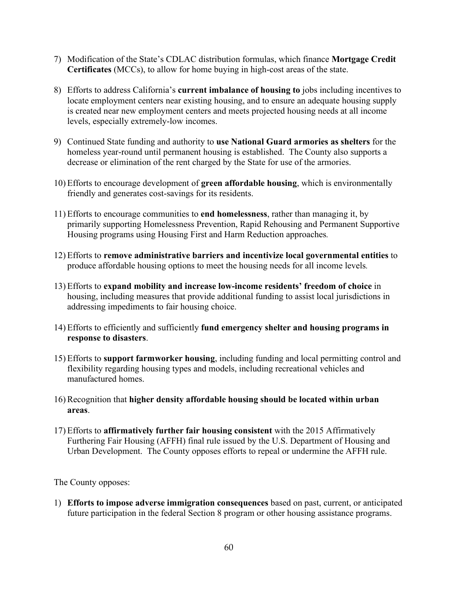- 7) Modification of the State's CDLAC distribution formulas, which finance **Mortgage Credit Certificates** (MCCs), to allow for home buying in high-cost areas of the state.
- 8) Efforts to address California's **current imbalance of housing to** jobs including incentives to locate employment centers near existing housing, and to ensure an adequate housing supply is created near new employment centers and meets projected housing needs at all income levels, especially extremely-low incomes.
- 9) Continued State funding and authority to **use National Guard armories as shelters** for the homeless year-round until permanent housing is established. The County also supports a decrease or elimination of the rent charged by the State for use of the armories.
- 10) Efforts to encourage development of **green affordable housing**, which is environmentally friendly and generates cost-savings for its residents.
- 11) Efforts to encourage communities to **end homelessness**, rather than managing it, by primarily supporting Homelessness Prevention, Rapid Rehousing and Permanent Supportive Housing programs using Housing First and Harm Reduction approaches*.*
- 12) Efforts to **remove administrative barriers and incentivize local governmental entities** to produce affordable housing options to meet the housing needs for all income levels*.*
- 13) Efforts to **expand mobility and increase low-income residents' freedom of choice** in housing, including measures that provide additional funding to assist local jurisdictions in addressing impediments to fair housing choice.
- 14) Efforts to efficiently and sufficiently **fund emergency shelter and housing programs in response to disasters**.
- 15) Efforts to **support farmworker housing**, including funding and local permitting control and flexibility regarding housing types and models, including recreational vehicles and manufactured homes.
- 16) Recognition that **higher density affordable housing should be located within urban areas**.
- 17) Efforts to **affirmatively further fair housing consistent** with the 2015 Affirmatively Furthering Fair Housing (AFFH) final rule issued by the U.S. Department of Housing and Urban Development. The County opposes efforts to repeal or undermine the AFFH rule.

1) **Efforts to impose adverse immigration consequences** based on past, current, or anticipated future participation in the federal Section 8 program or other housing assistance programs.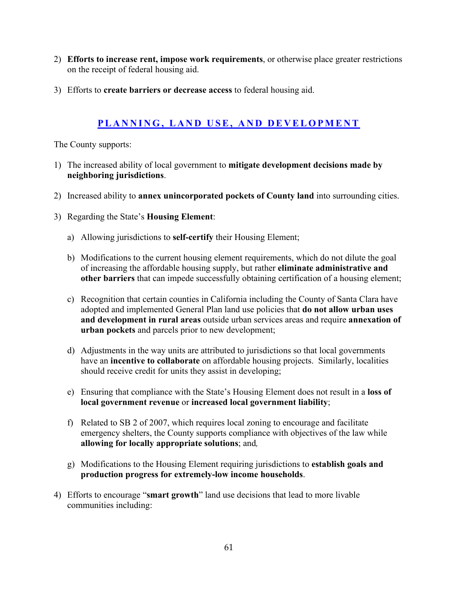- 2) **Efforts to increase rent, impose work requirements**, or otherwise place greater restrictions on the receipt of federal housing aid.
- 3) Efforts to **create barriers or decrease access** to federal housing aid.

#### **PLANNING, LAND USE, AND DEVELOPMENT**

- 1) The increased ability of local government to **mitigate development decisions made by neighboring jurisdictions**.
- 2) Increased ability to **annex unincorporated pockets of County land** into surrounding cities.
- 3) Regarding the State's **Housing Element**:
	- a) Allowing jurisdictions to **self-certify** their Housing Element;
	- b) Modifications to the current housing element requirements, which do not dilute the goal of increasing the affordable housing supply, but rather **eliminate administrative and other barriers** that can impede successfully obtaining certification of a housing element;
	- c) Recognition that certain counties in California including the County of Santa Clara have adopted and implemented General Plan land use policies that **do not allow urban uses and development in rural areas** outside urban services areas and require **annexation of urban pockets** and parcels prior to new development;
	- d) Adjustments in the way units are attributed to jurisdictions so that local governments have an **incentive to collaborate** on affordable housing projects. Similarly, localities should receive credit for units they assist in developing;
	- e) Ensuring that compliance with the State's Housing Element does not result in a **loss of local government revenue** or **increased local government liability**;
	- f) Related to SB 2 of 2007, which requires local zoning to encourage and facilitate emergency shelters, the County supports compliance with objectives of the law while **allowing for locally appropriate solutions**; and*,*
	- g) Modifications to the Housing Element requiring jurisdictions to **establish goals and production progress for extremely-low income households**.
- 4) Efforts to encourage "**smart growth**" land use decisions that lead to more livable communities including: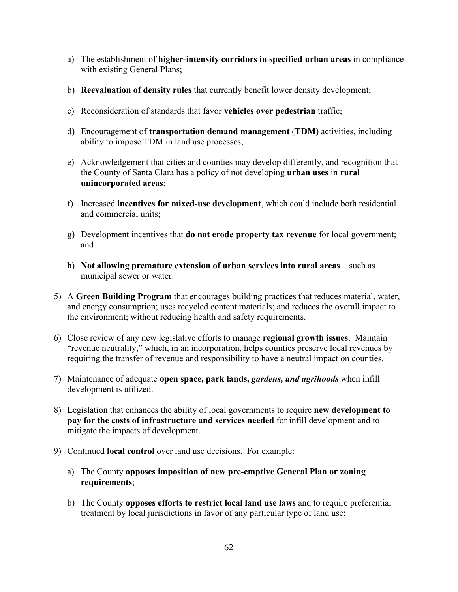- a) The establishment of **higher-intensity corridors in specified urban areas** in compliance with existing General Plans;
- b) **Reevaluation of density rules** that currently benefit lower density development;
- c) Reconsideration of standards that favor **vehicles over pedestrian** traffic;
- d) Encouragement of **transportation demand management** (**TDM**) activities, including ability to impose TDM in land use processes;
- e) Acknowledgement that cities and counties may develop differently, and recognition that the County of Santa Clara has a policy of not developing **urban uses** in **rural unincorporated areas**;
- f) Increased **incentives for mixed-use development**, which could include both residential and commercial units;
- g) Development incentives that **do not erode property tax revenue** for local government; and
- h) **Not allowing premature extension of urban services into rural areas** such as municipal sewer or water.
- 5) A **Green Building Program** that encourages building practices that reduces material, water, and energy consumption; uses recycled content materials; and reduces the overall impact to the environment; without reducing health and safety requirements.
- 6) Close review of any new legislative efforts to manage **regional growth issues**. Maintain "revenue neutrality," which, in an incorporation, helps counties preserve local revenues by requiring the transfer of revenue and responsibility to have a neutral impact on counties.
- 7) Maintenance of adequate **open space, park lands,** *gardens, and agrihoods* when infill development is utilized.
- 8) Legislation that enhances the ability of local governments to require **new development to pay for the costs of infrastructure and services needed** for infill development and to mitigate the impacts of development.
- 9) Continued **local control** over land use decisions. For example:
	- a) The County **opposes imposition of new pre-emptive General Plan or zoning requirements**;
	- b) The County **opposes efforts to restrict local land use laws** and to require preferential treatment by local jurisdictions in favor of any particular type of land use;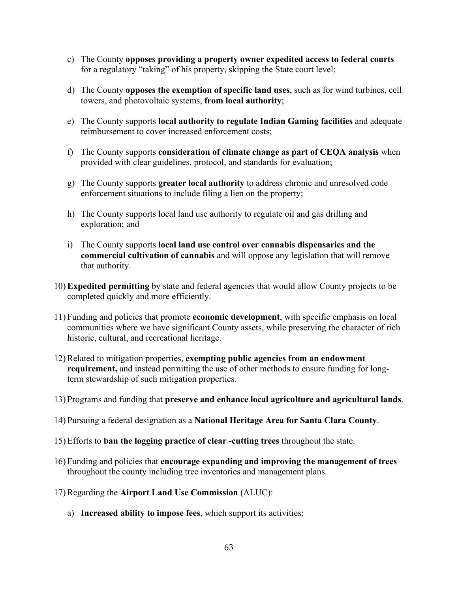- c) The County **opposes providing a property owner expedited access to federal courts**  for a regulatory "taking" of his property, skipping the State court level;
- d) The County **opposes the exemption of specific land uses**, such as for wind turbines, cell towers, and photovoltaic systems, **from local authority**;
- e) The County supports **local authority to regulate Indian Gaming facilities** and adequate reimbursement to cover increased enforcement costs;
- f) The County supports **consideration of climate change as part of CEQA analysis** when provided with clear guidelines, protocol, and standards for evaluation;
- g) The County supports **greater local authority** to address chronic and unresolved code enforcement situations to include filing a lien on the property;
- h) The County supports local land use authority to regulate oil and gas drilling and exploration; and
- i) The County supports **local land use control over cannabis dispensaries and the commercial cultivation of cannabis** and will oppose any legislation that will remove that authority.
- 10) **Expedited permitting** by state and federal agencies that would allow County projects to be completed quickly and more efficiently.
- 11) Funding and policies that promote **economic development**, with specific emphasis on local communities where we have significant County assets, while preserving the character of rich historic, cultural, and recreational heritage.
- 12) Related to mitigation properties, **exempting public agencies from an endowment requirement,** and instead permitting the use of other methods to ensure funding for longterm stewardship of such mitigation properties.
- 13) Programs and funding that **preserve and enhance local agriculture and agricultural lands**.
- 14) Pursuing a federal designation as a **National Heritage Area for Santa Clara County**.
- 15) Efforts to **ban the logging practice of clear -cutting trees** throughout the state.
- 16) Funding and policies that **encourage expanding and improving the management of trees** throughout the county including tree inventories and management plans.
- 17) Regarding the **Airport Land Use Commission** (ALUC):
	- a) **Increased ability to impose fees**, which support its activities;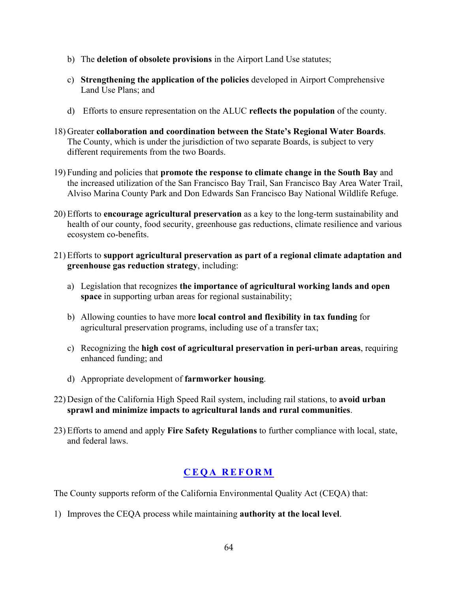- b) The **deletion of obsolete provisions** in the Airport Land Use statutes;
- c) **Strengthening the application of the policies** developed in Airport Comprehensive Land Use Plans; and
- d) Efforts to ensure representation on the ALUC **reflects the population** of the county.
- 18) Greater **collaboration and coordination between the State's Regional Water Boards**. The County, which is under the jurisdiction of two separate Boards, is subject to very different requirements from the two Boards.
- 19) Funding and policies that **promote the response to climate change in the South Bay** and the increased utilization of the San Francisco Bay Trail, San Francisco Bay Area Water Trail, Alviso Marina County Park and Don Edwards San Francisco Bay National Wildlife Refuge.
- 20) Efforts to **encourage agricultural preservation** as a key to the long-term sustainability and health of our county, food security, greenhouse gas reductions, climate resilience and various ecosystem co-benefits.
- 21) Efforts to **support agricultural preservation as part of a regional climate adaptation and greenhouse gas reduction strategy**, including:
	- a) Legislation that recognizes **the importance of agricultural working lands and open space** in supporting urban areas for regional sustainability;
	- b) Allowing counties to have more **local control and flexibility in tax funding** for agricultural preservation programs, including use of a transfer tax;
	- c) Recognizing the **high cost of agricultural preservation in peri-urban areas**, requiring enhanced funding; and
	- d) Appropriate development of **farmworker housing**.
- 22) Design of the California High Speed Rail system, including rail stations, to **avoid urban sprawl and minimize impacts to agricultural lands and rural communities**.
- 23) Efforts to amend and apply **Fire Safety Regulations** to further compliance with local, state, and federal laws.

#### **CEQA REFORM**

The County supports reform of the California Environmental Quality Act (CEQA) that:

1) Improves the CEQA process while maintaining **authority at the local level**.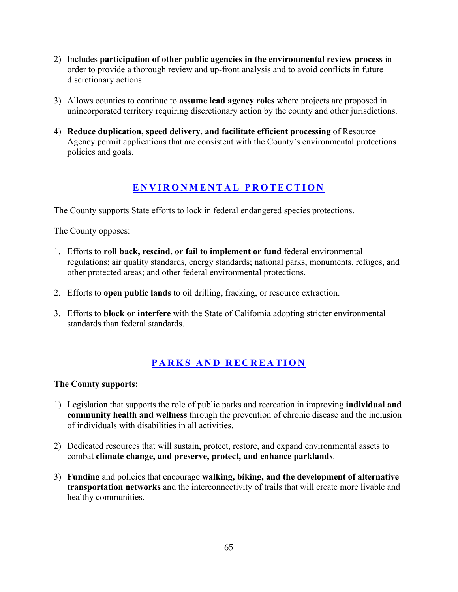- 2) Includes **participation of other public agencies in the environmental review process** in order to provide a thorough review and up-front analysis and to avoid conflicts in future discretionary actions.
- 3) Allows counties to continue to **assume lead agency roles** where projects are proposed in unincorporated territory requiring discretionary action by the county and other jurisdictions.
- 4) **Reduce duplication, speed delivery, and facilitate efficient processing** of Resource Agency permit applications that are consistent with the County's environmental protections policies and goals.

#### **ENVIRONMENTAL PROTECTION**

The County supports State efforts to lock in federal endangered species protections.

The County opposes:

- 1. Efforts to **roll back, rescind, or fail to implement or fund** federal environmental regulations; air quality standards*,* energy standards; national parks, monuments, refuges, and other protected areas; and other federal environmental protections.
- 2. Efforts to **open public lands** to oil drilling, fracking, or resource extraction.
- 3. Efforts to **block or interfere** with the State of California adopting stricter environmental standards than federal standards.

## **PARKS AND RECREATION**

- 1) Legislation that supports the role of public parks and recreation in improving **individual and community health and wellness** through the prevention of chronic disease and the inclusion of individuals with disabilities in all activities.
- 2) Dedicated resources that will sustain, protect, restore, and expand environmental assets to combat **climate change, and preserve, protect, and enhance parklands**.
- 3) **Funding** and policies that encourage **walking, biking, and the development of alternative transportation networks** and the interconnectivity of trails that will create more livable and healthy communities.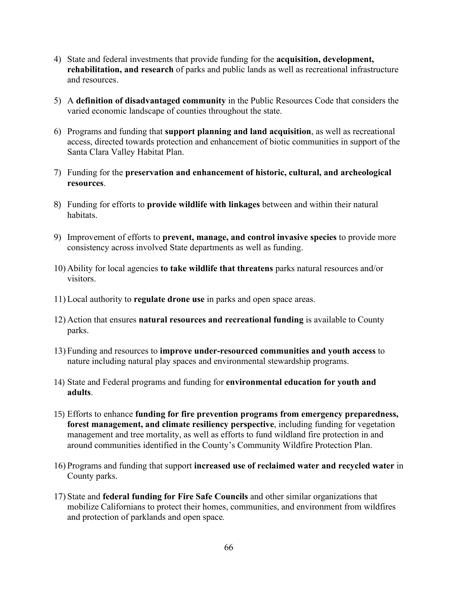- 4) State and federal investments that provide funding for the **acquisition, development, rehabilitation, and research** of parks and public lands as well as recreational infrastructure and resources.
- 5) A **definition of disadvantaged community** in the Public Resources Code that considers the varied economic landscape of counties throughout the state.
- 6) Programs and funding that **support planning and land acquisition**, as well as recreational access, directed towards protection and enhancement of biotic communities in support of the Santa Clara Valley Habitat Plan.
- 7) Funding for the **preservation and enhancement of historic, cultural, and archeological resources**.
- 8) Funding for efforts to **provide wildlife with linkages** between and within their natural habitats.
- 9) Improvement of efforts to **prevent, manage, and control invasive species** to provide more consistency across involved State departments as well as funding.
- 10) Ability for local agencies **to take wildlife that threatens** parks natural resources and/or visitors.
- 11) Local authority to **regulate drone use** in parks and open space areas.
- 12) Action that ensures **natural resources and recreational funding** is available to County parks.
- 13) Funding and resources to **improve under-resourced communities and youth access** to nature including natural play spaces and environmental stewardship programs.
- 14) State and Federal programs and funding for **environmental education for youth and adults**.
- 15) Efforts to enhance **funding for fire prevention programs from emergency preparedness, forest management, and climate resiliency perspective**, including funding for vegetation management and tree mortality, as well as efforts to fund wildland fire protection in and around communities identified in the County's Community Wildfire Protection Plan.
- 16) Programs and funding that support **increased use of reclaimed water and recycled water** in County parks.
- 17) State and **federal funding for Fire Safe Councils** and other similar organizations that mobilize Californians to protect their homes, communities, and environment from wildfires and protection of parklands and open space*.*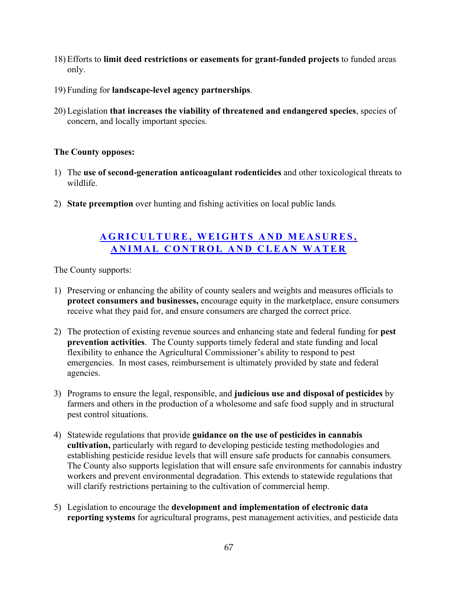- 18) Efforts to **limit deed restrictions or easements for grant-funded projects** to funded areas only.
- 19) Funding for **landscape-level agency partnerships**.
- 20) Legislation **that increases the viability of threatened and endangered species**, species of concern, and locally important species.

- 1) The **use of second-generation anticoagulant rodenticides** and other toxicological threats to wildlife.
- 2) **State preemption** over hunting and fishing activities on local public lands*.*

#### **AGRICULTURE, WEIGHTS AND MEASURES, ANIMAL CONTROL AND CLEAN WATER**

- 1) Preserving or enhancing the ability of county sealers and weights and measures officials to **protect consumers and businesses,** encourage equity in the marketplace, ensure consumers receive what they paid for, and ensure consumers are charged the correct price.
- 2) The protection of existing revenue sources and enhancing state and federal funding for **pest prevention activities**. The County supports timely federal and state funding and local flexibility to enhance the Agricultural Commissioner's ability to respond to pest emergencies. In most cases, reimbursement is ultimately provided by state and federal agencies.
- 3) Programs to ensure the legal, responsible, and **judicious use and disposal of pesticides** by farmers and others in the production of a wholesome and safe food supply and in structural pest control situations.
- 4) Statewide regulations that provide **guidance on the use of pesticides in cannabis cultivation,** particularly with regard to developing pesticide testing methodologies and establishing pesticide residue levels that will ensure safe products for cannabis consumers*.* The County also supports legislation that will ensure safe environments for cannabis industry workers and prevent environmental degradation. This extends to statewide regulations that will clarify restrictions pertaining to the cultivation of commercial hemp.
- 5) Legislation to encourage the **development and implementation of electronic data reporting systems** for agricultural programs, pest management activities, and pesticide data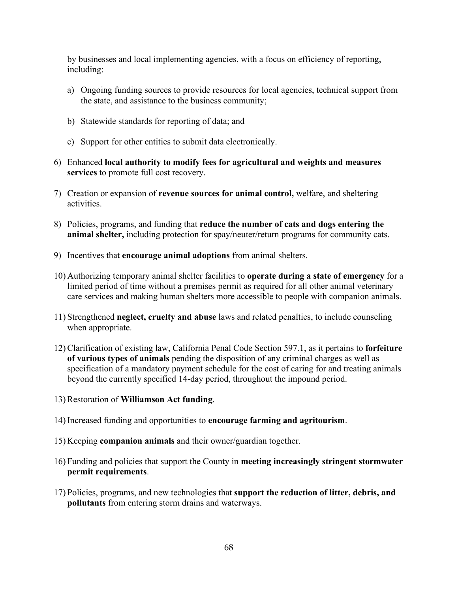by businesses and local implementing agencies, with a focus on efficiency of reporting, including:

- a) Ongoing funding sources to provide resources for local agencies, technical support from the state, and assistance to the business community;
- b) Statewide standards for reporting of data; and
- c) Support for other entities to submit data electronically.
- 6) Enhanced **local authority to modify fees for agricultural and weights and measures services** to promote full cost recovery.
- 7) Creation or expansion of **revenue sources for animal control,** welfare, and sheltering activities.
- 8) Policies, programs, and funding that **reduce the number of cats and dogs entering the animal shelter,** including protection for spay/neuter/return programs for community cats.
- 9) Incentives that **encourage animal adoptions** from animal shelters*.*
- 10) Authorizing temporary animal shelter facilities to **operate during a state of emergency** for a limited period of time without a premises permit as required for all other animal veterinary care services and making human shelters more accessible to people with companion animals.
- 11) Strengthened **neglect, cruelty and abuse** laws and related penalties, to include counseling when appropriate.
- 12) Clarification of existing law, California Penal Code Section 597.1, as it pertains to **forfeiture of various types of animals** pending the disposition of any criminal charges as well as specification of a mandatory payment schedule for the cost of caring for and treating animals beyond the currently specified 14-day period, throughout the impound period.
- 13) Restoration of **Williamson Act funding**.
- 14) Increased funding and opportunities to **encourage farming and agritourism**.
- 15) Keeping **companion animals** and their owner/guardian together.
- 16) Funding and policies that support the County in **meeting increasingly stringent stormwater permit requirements**.
- 17) Policies, programs, and new technologies that **support the reduction of litter, debris, and pollutants** from entering storm drains and waterways.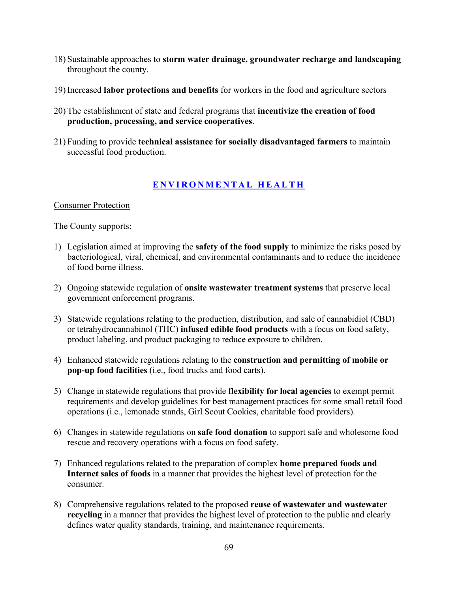- 18) Sustainable approaches to **storm water drainage, groundwater recharge and landscaping** throughout the county.
- 19) Increased **labor protections and benefits** for workers in the food and agriculture sectors
- 20) The establishment of state and federal programs that **incentivize the creation of food production, processing, and service cooperatives**.
- 21) Funding to provide **technical assistance for socially disadvantaged farmers** to maintain successful food production.

#### **ENVIRONMENTAL HEALTH**

#### Consumer Protection

- 1) Legislation aimed at improving the **safety of the food supply** to minimize the risks posed by bacteriological, viral, chemical, and environmental contaminants and to reduce the incidence of food borne illness.
- 2) Ongoing statewide regulation of **onsite wastewater treatment systems** that preserve local government enforcement programs.
- 3) Statewide regulations relating to the production, distribution, and sale of cannabidiol (CBD) or tetrahydrocannabinol (THC) **infused edible food products** with a focus on food safety, product labeling, and product packaging to reduce exposure to children.
- 4) Enhanced statewide regulations relating to the **construction and permitting of mobile or pop-up food facilities** (i.e., food trucks and food carts).
- 5) Change in statewide regulations that provide **flexibility for local agencies** to exempt permit requirements and develop guidelines for best management practices for some small retail food operations (i.e., lemonade stands, Girl Scout Cookies, charitable food providers).
- 6) Changes in statewide regulations on **safe food donation** to support safe and wholesome food rescue and recovery operations with a focus on food safety.
- 7) Enhanced regulations related to the preparation of complex **home prepared foods and Internet sales of foods** in a manner that provides the highest level of protection for the consumer.
- 8) Comprehensive regulations related to the proposed **reuse of wastewater and wastewater recycling** in a manner that provides the highest level of protection to the public and clearly defines water quality standards, training, and maintenance requirements.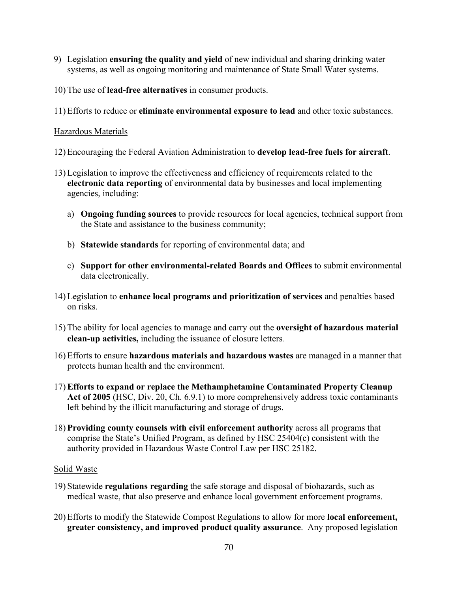- 9) Legislation **ensuring the quality and yield** of new individual and sharing drinking water systems, as well as ongoing monitoring and maintenance of State Small Water systems.
- 10) The use of **lead-free alternatives** in consumer products.
- 11) Efforts to reduce or **eliminate environmental exposure to lead** and other toxic substances.

#### Hazardous Materials

- 12) Encouraging the Federal Aviation Administration to **develop lead-free fuels for aircraft**.
- 13) Legislation to improve the effectiveness and efficiency of requirements related to the **electronic data reporting** of environmental data by businesses and local implementing agencies, including:
	- a) **Ongoing funding sources** to provide resources for local agencies, technical support from the State and assistance to the business community;
	- b) **Statewide standards** for reporting of environmental data; and
	- c) **Support for other environmental-related Boards and Offices** to submit environmental data electronically.
- 14) Legislation to **enhance local programs and prioritization of services** and penalties based on risks.
- 15) The ability for local agencies to manage and carry out the **oversight of hazardous material clean-up activities,** including the issuance of closure letters*.*
- 16) Efforts to ensure **hazardous materials and hazardous wastes** are managed in a manner that protects human health and the environment.
- 17) **Efforts to expand or replace the Methamphetamine Contaminated Property Cleanup Act of 2005** (HSC, Div. 20, Ch. 6.9.1) to more comprehensively address toxic contaminants left behind by the illicit manufacturing and storage of drugs.
- 18) **Providing county counsels with civil enforcement authority** across all programs that comprise the State's Unified Program, as defined by HSC 25404(c) consistent with the authority provided in Hazardous Waste Control Law per HSC 25182.

#### Solid Waste

- 19) Statewide **regulations regarding** the safe storage and disposal of biohazards, such as medical waste, that also preserve and enhance local government enforcement programs.
- 20) Efforts to modify the Statewide Compost Regulations to allow for more **local enforcement, greater consistency, and improved product quality assurance**. Any proposed legislation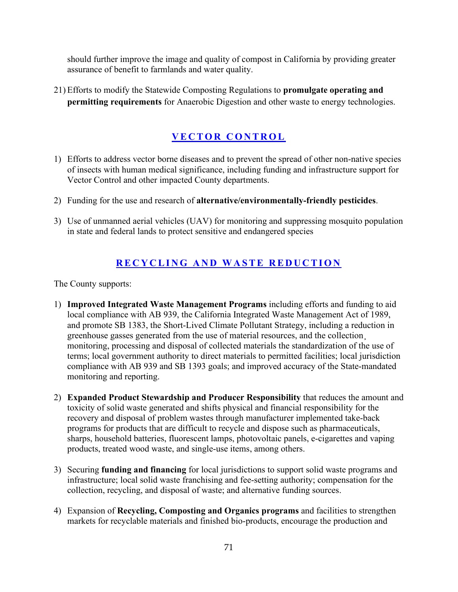should further improve the image and quality of compost in California by providing greater assurance of benefit to farmlands and water quality.

21) Efforts to modify the Statewide Composting Regulations to **promulgate operating and permitting requirements** for Anaerobic Digestion and other waste to energy technologies.

# **VECTOR CONTROL**

- 1) Efforts to address vector borne diseases and to prevent the spread of other non-native species of insects with human medical significance, including funding and infrastructure support for Vector Control and other impacted County departments.
- 2) Funding for the use and research of **alternative/environmentally-friendly pesticides**.
- 3) Use of unmanned aerial vehicles (UAV) for monitoring and suppressing mosquito population in state and federal lands to protect sensitive and endangered species

#### **RECYCLING AND WASTE REDUCTION**

- 1) **Improved Integrated Waste Management Programs** including efforts and funding to aid local compliance with AB 939, the California Integrated Waste Management Act of 1989, and promote SB 1383, the Short-Lived Climate Pollutant Strategy, including a reduction in greenhouse gasses generated from the use of material resources, and the collection¸ monitoring, processing and disposal of collected materials the standardization of the use of terms; local government authority to direct materials to permitted facilities; local jurisdiction compliance with AB 939 and SB 1393 goals; and improved accuracy of the State-mandated monitoring and reporting.
- 2) **Expanded Product Stewardship and Producer Responsibility** that reduces the amount and toxicity of solid waste generated and shifts physical and financial responsibility for the recovery and disposal of problem wastes through manufacturer implemented take-back programs for products that are difficult to recycle and dispose such as pharmaceuticals, sharps, household batteries, fluorescent lamps, photovoltaic panels, e-cigarettes and vaping products, treated wood waste, and single-use items, among others.
- 3) Securing **funding and financing** for local jurisdictions to support solid waste programs and infrastructure; local solid waste franchising and fee-setting authority; compensation for the collection, recycling, and disposal of waste; and alternative funding sources.
- 4) Expansion of **Recycling, Composting and Organics programs** and facilities to strengthen markets for recyclable materials and finished bio-products, encourage the production and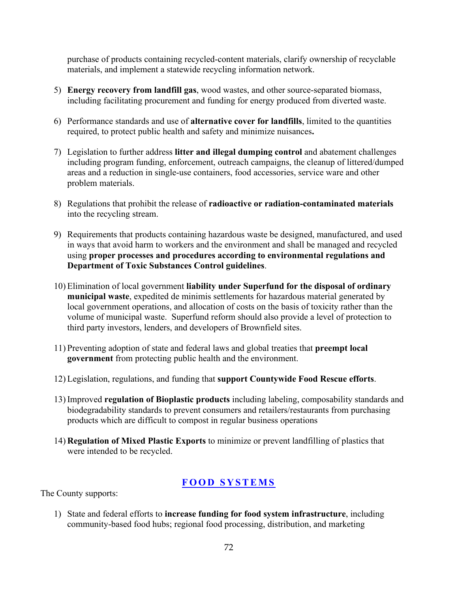purchase of products containing recycled-content materials, clarify ownership of recyclable materials, and implement a statewide recycling information network.

- 5) **Energy recovery from landfill gas**, wood wastes, and other source-separated biomass, including facilitating procurement and funding for energy produced from diverted waste.
- 6) Performance standards and use of **alternative cover for landfills**, limited to the quantities required, to protect public health and safety and minimize nuisances**.**
- 7) Legislation to further address **litter and illegal dumping control** and abatement challenges including program funding, enforcement, outreach campaigns, the cleanup of littered/dumped areas and a reduction in single-use containers, food accessories, service ware and other problem materials.
- 8) Regulations that prohibit the release of **radioactive or radiation-contaminated materials**  into the recycling stream.
- 9) Requirements that products containing hazardous waste be designed, manufactured, and used in ways that avoid harm to workers and the environment and shall be managed and recycled using **proper processes and procedures according to environmental regulations and Department of Toxic Substances Control guidelines**.
- 10) Elimination of local government **liability under Superfund for the disposal of ordinary municipal waste**, expedited de minimis settlements for hazardous material generated by local government operations, and allocation of costs on the basis of toxicity rather than the volume of municipal waste. Superfund reform should also provide a level of protection to third party investors, lenders, and developers of Brownfield sites.
- 11) Preventing adoption of state and federal laws and global treaties that **preempt local government** from protecting public health and the environment.
- 12) Legislation, regulations, and funding that **support Countywide Food Rescue efforts**.
- 13) Improved **regulation of Bioplastic products** including labeling, composability standards and biodegradability standards to prevent consumers and retailers/restaurants from purchasing products which are difficult to compost in regular business operations
- 14) **Regulation of Mixed Plastic Exports** to minimize or prevent landfilling of plastics that were intended to be recycled.

#### **FOOD SYSTEMS**

The County supports:

1) State and federal efforts to **increase funding for food system infrastructure**, including community-based food hubs; regional food processing, distribution, and marketing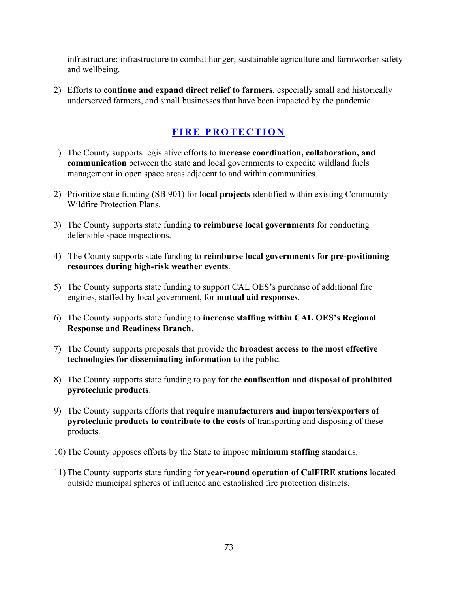infrastructure; infrastructure to combat hunger; sustainable agriculture and farmworker safety and wellbeing.

2) Efforts to **continue and expand direct relief to farmers**, especially small and historically underserved farmers, and small businesses that have been impacted by the pandemic.

## **FIRE PROTECTION**

- 1) The County supports legislative efforts to **increase coordination, collaboration, and communication** between the state and local governments to expedite wildland fuels management in open space areas adjacent to and within communities.
- 2) Prioritize state funding (SB 901) for **local projects** identified within existing Community Wildfire Protection Plans.
- 3) The County supports state funding **to reimburse local governments** for conducting defensible space inspections.
- 4) The County supports state funding to **reimburse local governments for pre-positioning resources during high-risk weather events**.
- 5) The County supports state funding to support CAL OES's purchase of additional fire engines, staffed by local government, for **mutual aid responses**.
- 6) The County supports state funding to **increase staffing within CAL OES's Regional Response and Readiness Branch**.
- 7) The County supports proposals that provide the **broadest access to the most effective technologies for disseminating information** to the public*.*
- 8) The County supports state funding to pay for the **confiscation and disposal of prohibited pyrotechnic products**.
- 9) The County supports efforts that **require manufacturers and importers/exporters of pyrotechnic products to contribute to the costs** of transporting and disposing of these products.
- 10) The County opposes efforts by the State to impose **minimum staffing** standards.
- 11) The County supports state funding for **year-round operation of CalFIRE stations** located outside municipal spheres of influence and established fire protection districts.